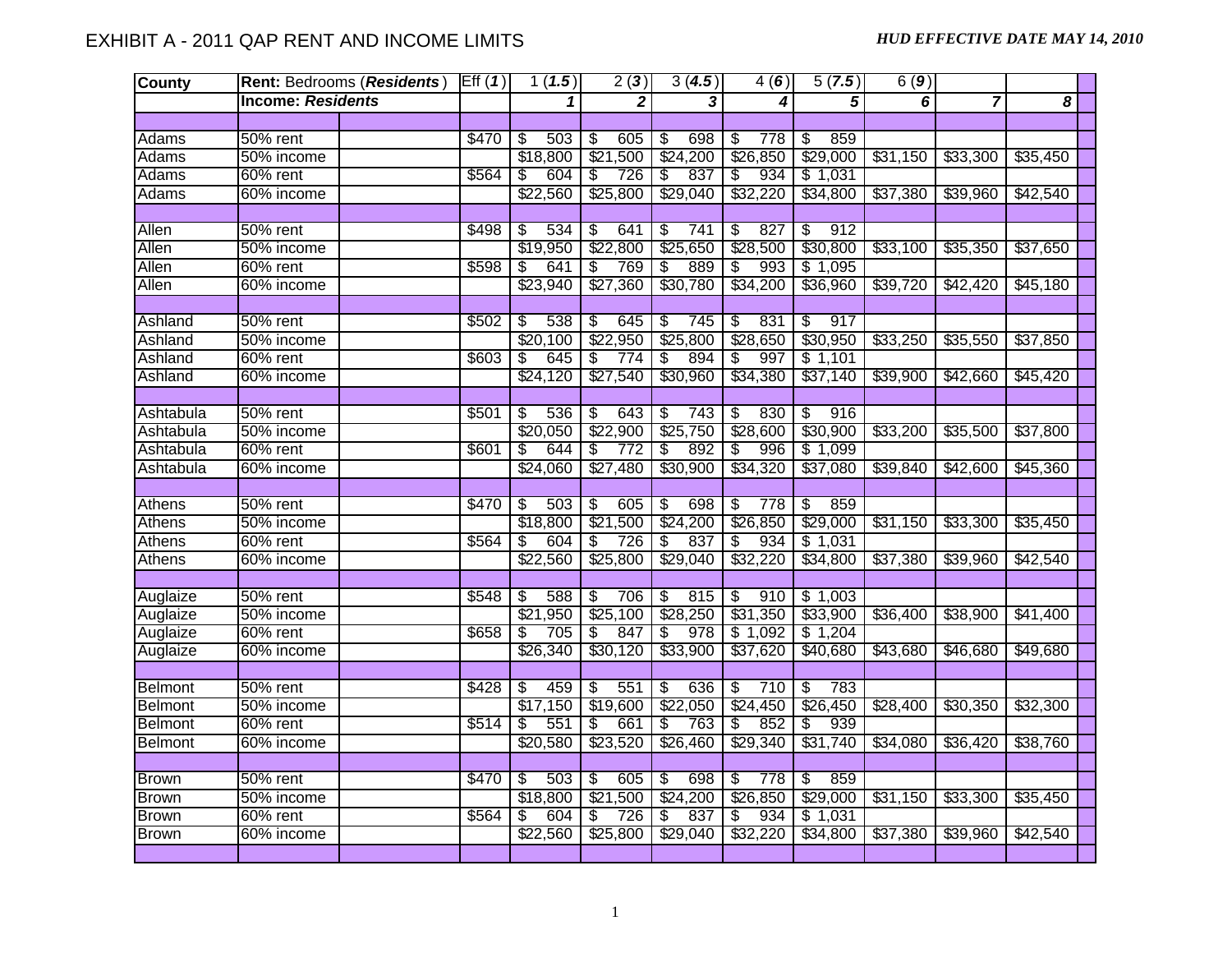| <b>County</b>  | Rent: Bedrooms (Residents) | Eff(1) | 1(1.5)     | 2(3)                                    | 3(4.5)                          | 4(6)                   | 5(7.5)                         | 6(9)     |                |          |
|----------------|----------------------------|--------|------------|-----------------------------------------|---------------------------------|------------------------|--------------------------------|----------|----------------|----------|
|                | <b>Income: Residents</b>   |        | 1          | $\mathbf{2}$                            | 3                               | 4                      | 5                              | 6        | $\overline{7}$ | 8        |
|                |                            |        |            |                                         |                                 |                        |                                |          |                |          |
| Adams          | 50% rent                   | \$470  | 503<br>\$  | 605<br>S                                | 698<br>\$                       | 778<br>\$              | 859<br>\$                      |          |                |          |
| Adams          | 50% income                 |        | \$18,800   | \$21,500                                | \$24,200                        | \$26,850               | \$29,000                       | \$31,150 | \$33,300       | \$35,450 |
| Adams          | 60% rent                   | \$564  | \$<br>604  | 726<br>\$                               | S<br>837                        | 934<br>\$              | \$1,031                        |          |                |          |
| Adams          | 60% income                 |        | \$22,560   | \$25,800                                | \$29,040                        | \$32,220               | \$34,800                       | \$37,380 | \$39,960       | \$42,540 |
|                |                            |        |            |                                         |                                 |                        |                                |          |                |          |
| Allen          | $50\%$ rent                | \$498  | 534<br>\$  | 641<br>$\overline{\boldsymbol{\theta}}$ | $\overline{\mathbf{e}}$<br>741  | 827<br>s)              | s)<br>912                      |          |                |          |
| Allen          | 50% income                 |        | \$19,950   | \$22,800                                | \$25,650                        | \$28,500               | \$30,800                       | \$33,100 | \$35,350       | \$37,650 |
| Allen          | 60% rent                   | \$598  | \$<br>641  | 769<br>\$                               | 889<br>S                        | 993<br>\$              | \$1,095                        |          |                |          |
| Allen          | 60% income                 |        | \$23,940   | \$27,360                                | \$30,780                        | \$34,200               | \$36,960                       | \$39,720 | \$42,420       | \$45,180 |
|                |                            |        |            |                                         |                                 |                        |                                |          |                |          |
| Ashland        | 50% rent                   | \$502  | S<br>538   | 645<br>\$                               | $\overline{\mathcal{E}}$<br>745 | 831<br>\$              | 917<br>$\overline{\mathbb{S}}$ |          |                |          |
| Ashland        | 50% income                 |        | \$20,100   | \$22,950                                | \$25,800                        | \$28,650               | \$30,950                       | \$33,250 | \$35,550       | \$37,850 |
| Ashland        | 60% rent                   | \$603  | 645<br>\$  | 774<br>\$                               | 894<br>\$                       | 997<br>\$              | \$1,101                        |          |                |          |
| Ashland        | 60% income                 |        | \$24,120   | \$27,540                                | \$30,960                        | \$34,380               | \$37,140                       | \$39,900 | \$42,660       | \$45,420 |
|                |                            |        |            |                                         |                                 |                        |                                |          |                |          |
| Ashtabula      | 50% rent                   | \$501  | 536<br>\$  | 643<br>\$                               | \$<br>743                       | 830<br>\$              | 916<br>S                       |          |                |          |
| Ashtabula      | 50% income                 |        | \$20,050   | \$22,900                                | \$25,750                        | \$28,600               | \$30,900                       | \$33,200 | \$35,500       | \$37,800 |
| Ashtabula      | 60% rent                   | \$601  | 644<br>\$. | 772<br>\$                               | S<br>892                        | 996<br>\$              | \$1,099                        |          |                |          |
| Ashtabula      | 60% income                 |        | \$24,060   | \$27,480                                | \$30,900                        | \$34,320               | \$37,080                       | \$39,840 | \$42,600       | \$45,360 |
|                |                            |        |            |                                         |                                 |                        |                                |          |                |          |
| Athens         | 50% rent                   | \$470  | 503<br>\$  | S<br>605                                | S<br>698                        | 778<br>\$              | 859<br>\$                      |          |                |          |
| <b>Athens</b>  | 50% income                 |        | \$18,800   | \$21,500                                | \$24,200                        | \$26,850               | \$29,000                       | \$31,150 | \$33,300       | \$35,450 |
| Athens         | 60% rent                   | \$564  | 604<br>\$  | \$<br>726                               | 837<br>\$                       | 934<br>\$              | \$1,031                        |          |                |          |
| Athens         | 60% income                 |        | \$22,560   | \$25,800                                | \$29,040                        | \$32,220               | \$34,800                       | \$37,380 | \$39,960       | \$42,540 |
|                |                            |        |            |                                         |                                 |                        |                                |          |                |          |
| Auglaize       | $50\%$ rent                | \$548  | 588<br>S   | 706<br>$\overline{\mathcal{E}}$         | 815<br>$\overline{\$}$          | 910<br>$\overline{\$}$ | \$1,003                        |          |                |          |
| Auglaize       | 50% income                 |        | \$21,950   | \$25,100                                | \$28,250                        | \$31,350               | \$33,900                       | \$36,400 | \$38,900       | \$41,400 |
| Auglaize       | 60% rent                   | \$658  | 705<br>\$  | 847<br>S.                               | 978<br>\$                       | \$1,092                | \$1,204                        |          |                |          |
| Auglaize       | 60% income                 |        | \$26,340   | \$30,120                                | \$33,900                        | \$37,620               | \$40,680                       | \$43,680 | \$46,680       | \$49,680 |
|                |                            |        |            |                                         |                                 |                        |                                |          |                |          |
| Belmont        | 50% rent                   | \$428  | 459<br>\$  | \$<br>551                               | \$<br>636                       | 710<br>\$              | \$<br>783                      |          |                |          |
| <b>Belmont</b> | 50% income                 |        | \$17,150   | \$19,600                                | \$22,050                        | \$24,450               | \$26,450                       | \$28,400 | \$30,350       | \$32,300 |
| <b>Belmont</b> | $60\%$ rent                | \$514  | 551<br>\$  | 661<br>\$                               | \$<br>763                       | 852<br>\$              | 939<br>\$                      |          |                |          |
| Belmont        | 60% income                 |        | \$20,580   | \$23,520                                | \$26,460                        | \$29,340               | \$31,740                       | \$34,080 | \$36,420       | \$38,760 |
|                |                            |        |            |                                         |                                 |                        |                                |          |                |          |
| <b>Brown</b>   | 50% rent                   | \$470  | 503<br>\$  | 605<br>\$                               | S<br>698                        | 778<br>\$              | 859<br>\$                      |          |                |          |
| <b>Brown</b>   | 50% income                 |        | \$18,800   | \$21,500                                | \$24,200                        | \$26,850               | \$29,000                       | \$31,150 | \$33,300       | \$35,450 |
| <b>Brown</b>   | 60% rent                   | \$564  | 604<br>\$  | \$<br>726                               | 837<br>S                        | 934<br>\$              | \$1,031                        |          |                |          |
| <b>Brown</b>   | 60% income                 |        | \$22,560   | \$25,800                                | \$29,040                        | \$32,220               | \$34,800                       | \$37,380 | \$39,960       | \$42,540 |
|                |                            |        |            |                                         |                                 |                        |                                |          |                |          |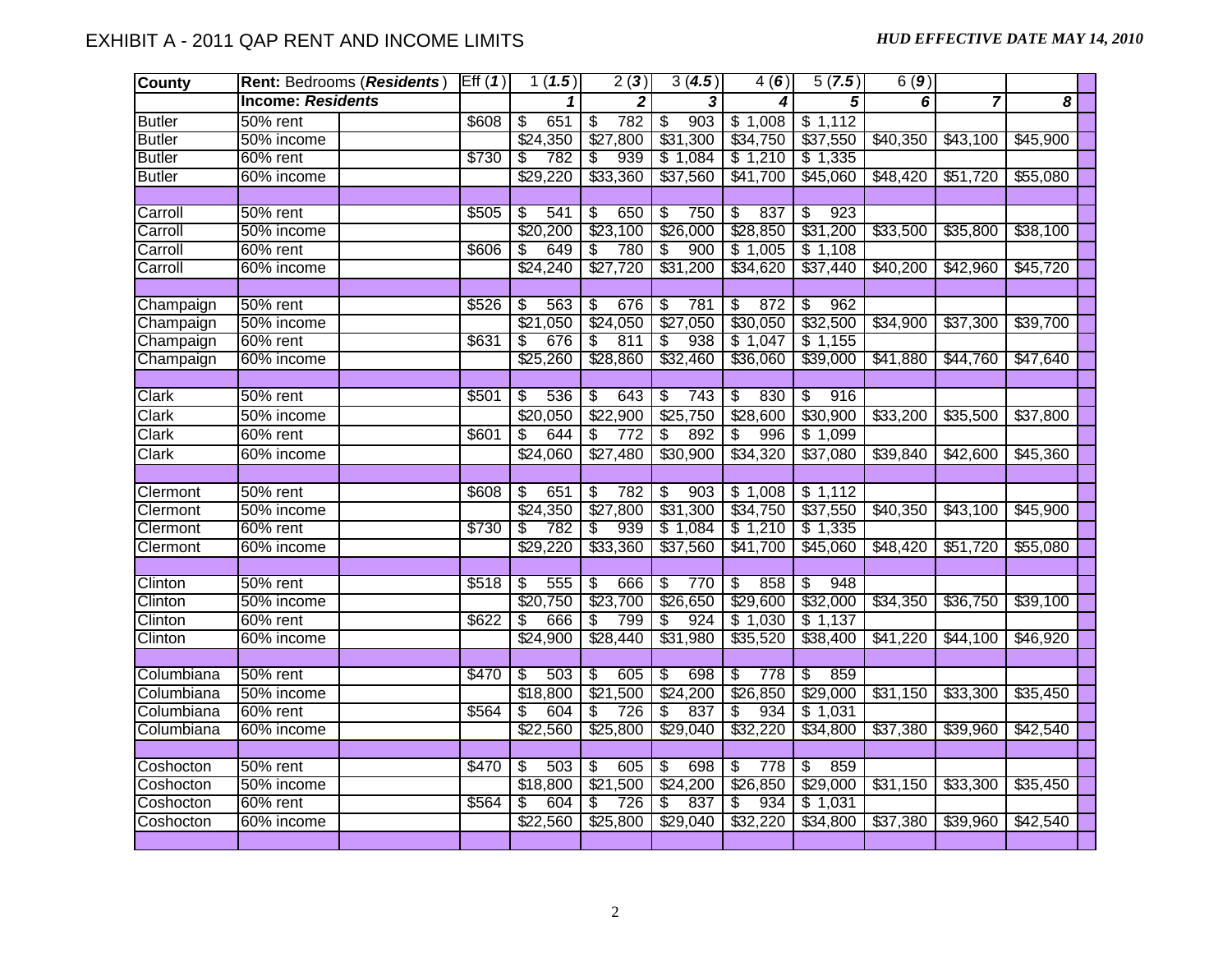| <b>County</b> | Rent: Bedrooms (Residents) | Eff(1) | 1(1.5)       | 2(3)                            | 3(4.5)                          | 4(6)                            | 5(7.5)                         | 6(9)     |                |          |  |
|---------------|----------------------------|--------|--------------|---------------------------------|---------------------------------|---------------------------------|--------------------------------|----------|----------------|----------|--|
|               | <b>Income: Residents</b>   |        | 1            | $\mathbf{2}$                    | $\overline{\mathbf{3}}$         | 4                               | $\overline{5}$                 | 6        | $\overline{7}$ | 8        |  |
| <b>Butler</b> | 50% rent                   | \$608  | 651<br>\$    | 782<br>\$                       | 903<br>\$                       | \$1,008                         | \$1,112                        |          |                |          |  |
| <b>Butler</b> | 50% income                 |        | \$24,350     | \$27,800                        | \$31,300                        | \$34,750                        | \$37,550                       | \$40,350 | \$43,100       | \$45,900 |  |
| <b>Butler</b> | 60% rent                   | \$730  | 782<br>\$    | 939<br>\$                       | \$1,084                         | \$1,210                         | \$1,335                        |          |                |          |  |
| <b>Butler</b> | 60% income                 |        | \$29,220     | \$33,360                        | \$37,560                        | \$41,700                        | \$45,060                       | \$48,420 | \$51,720       | \$55,080 |  |
|               |                            |        |              |                                 |                                 |                                 |                                |          |                |          |  |
| Carroll       | 50% rent                   | \$505  | 541<br>\$    | 650<br>\$                       | -\$<br>750                      | 837<br>\$                       | 923<br>S                       |          |                |          |  |
| Carroll       | 50% income                 |        | \$20,200     | \$23,100                        | \$26,000                        | \$28,850                        | \$31,200                       | \$33,500 | \$35,800       | \$38,100 |  |
| Carroll       | 60% rent                   | \$606  | 649<br>\$    | 780<br>\$                       | 900<br>\$                       | \$1,005                         | \$1,108                        |          |                |          |  |
| Carroll       | 60% income                 |        | \$24,240     | \$27,720                        | \$31,200                        | \$34,620                        | \$37,440                       | \$40,200 | \$42,960       | \$45,720 |  |
|               |                            |        |              |                                 |                                 |                                 |                                |          |                |          |  |
| Champaign     | 50% rent                   | \$526  | 563<br>\$    | 676<br>$\overline{\mathcal{S}}$ | 781<br>\$                       | 872<br>$\overline{\mathcal{S}}$ | 962<br>\$                      |          |                |          |  |
| Champaign     | 50% income                 |        | \$21<br>,050 | \$24,050                        | \$27,050                        | \$30,050                        | \$32,500                       | \$34,900 | \$37,300       | \$39,700 |  |
| Champaign     | 60% rent                   | \$631  | 676<br>\$    | $\overline{\mathcal{E}}$<br>811 | $\overline{\mathbf{3}}$<br>938  | \$1,047                         | \$1,155                        |          |                |          |  |
| Champaign     | 60% income                 |        | \$25,260     | \$28,860                        | \$32,460                        | \$36,060                        | \$39,000                       | \$41,880 | \$44,760       | \$47,640 |  |
|               |                            |        |              |                                 |                                 |                                 |                                |          |                |          |  |
| <b>Clark</b>  | 50% rent                   | \$501  | 536<br>\$    | 643<br>\$                       | \$<br>743                       | 830<br>\$                       | 916<br>\$                      |          |                |          |  |
| Clark         | 50% income                 |        | \$20,050     | \$22,900                        | \$25,750                        | \$28,600                        | \$30,900                       | 33,200   | \$35,500       | \$37,800 |  |
| Clark         | $60\%$ rent                | \$601  | 644<br>\$    | 772<br>\$                       | $\overline{\mathcal{G}}$<br>892 | \$<br>996                       | \$1,099                        |          |                |          |  |
| Clark         | 60% income                 |        | \$24,060     | \$27,480                        | \$30,900                        | \$34,320                        | \$37,080                       | \$39,840 | \$42,600       | \$45,360 |  |
|               |                            |        |              |                                 |                                 |                                 |                                |          |                |          |  |
| Clermont      | $50%$ rent                 | \$608  | \$<br>651    | 782<br>\$                       | s)<br>903                       | \$1,008                         | \$1,112                        |          |                |          |  |
| Clermont      | 50% income                 |        | \$24,350     | \$27,800                        | \$31,300                        | \$34,750                        | \$37,550                       | \$40,350 | \$43,100       | \$45,900 |  |
| Clermont      | 60% rent                   | \$730  | 782<br>\$    | 939<br>S                        | \$1,084                         | \$1,210                         | \$1,335                        |          |                |          |  |
| Clermont      | 60% income                 |        | \$29,220     | \$33,360                        | \$37,560                        | \$41,700                        | \$45,060                       | \$48,420 | \$51,720       | \$55,080 |  |
|               |                            |        |              |                                 |                                 |                                 |                                |          |                |          |  |
| Clinton       | 50% rent                   | \$518  | 555<br>\$    | 666<br>\$                       | \$<br>770                       | 858<br>\$                       | 948<br>$\overline{\$}$         |          |                |          |  |
| Clinton       | 50% income                 |        | \$20,750     | \$23,700                        | \$26,650                        | \$29,600                        | \$32,000                       | \$34,350 | \$36,750       | \$39,100 |  |
| Clinton       | $60\%$ rent                | \$622  | 666<br>\$    | \$<br>799                       | \$<br>924                       | \$1,030                         | \$1,137                        |          |                |          |  |
| Clinton       | 60% income                 |        | \$24,900     | \$28,440                        | \$31,980                        | \$35,520                        | \$38,400                       | \$41,220 | \$44,100       | \$46,920 |  |
|               |                            |        |              |                                 |                                 |                                 |                                |          |                |          |  |
| Columbiana    | 50% rent                   | \$470  | 503<br>\$    | 605<br>\$                       | 698<br>\$                       | \$<br>778                       | $\overline{\mathbb{S}}$<br>859 |          |                |          |  |
| Columbiana    | 50% income                 |        | \$18,800     | \$21,500                        | \$24,200                        | \$26,850                        | \$29,000                       | \$31,150 | \$33,300       | \$35,450 |  |
| Columbiana    | 60% rent                   | \$564  | 604<br>\$    | 726<br>\$                       | S<br>837                        | 934<br>\$                       | \$1,031                        |          |                |          |  |
| Columbiana    | 60% income                 |        | \$22,560     | \$25,800                        | \$29,040                        | \$32,220                        | \$34,800                       | \$37,380 | \$39,960       | \$42,540 |  |
|               |                            |        |              |                                 |                                 |                                 |                                |          |                |          |  |
| Coshocton     | 50% rent                   | \$470  | S<br>503     | 605<br>\$                       | $\overline{\mathcal{S}}$<br>698 | 778<br>\$                       | s)<br>859                      |          |                |          |  |
| Coshocton     | 50% income                 |        | \$18,800     | \$21,500                        | \$24,200                        | \$26,850                        | \$29,000                       | \$31,150 | \$33,300       | \$35,450 |  |
| Coshocton     | 60% rent                   | \$564  | \$<br>604    | \$<br>726                       | $\overline{\$}$<br>837          | 934<br>\$                       | \$1,031                        |          |                |          |  |
| Coshocton     | 60% income                 |        | \$22,560     | \$25,800                        | \$29,040                        | \$32,220                        | \$34,800                       | \$37,380 | \$39,960       | \$42,540 |  |
|               |                            |        |              |                                 |                                 |                                 |                                |          |                |          |  |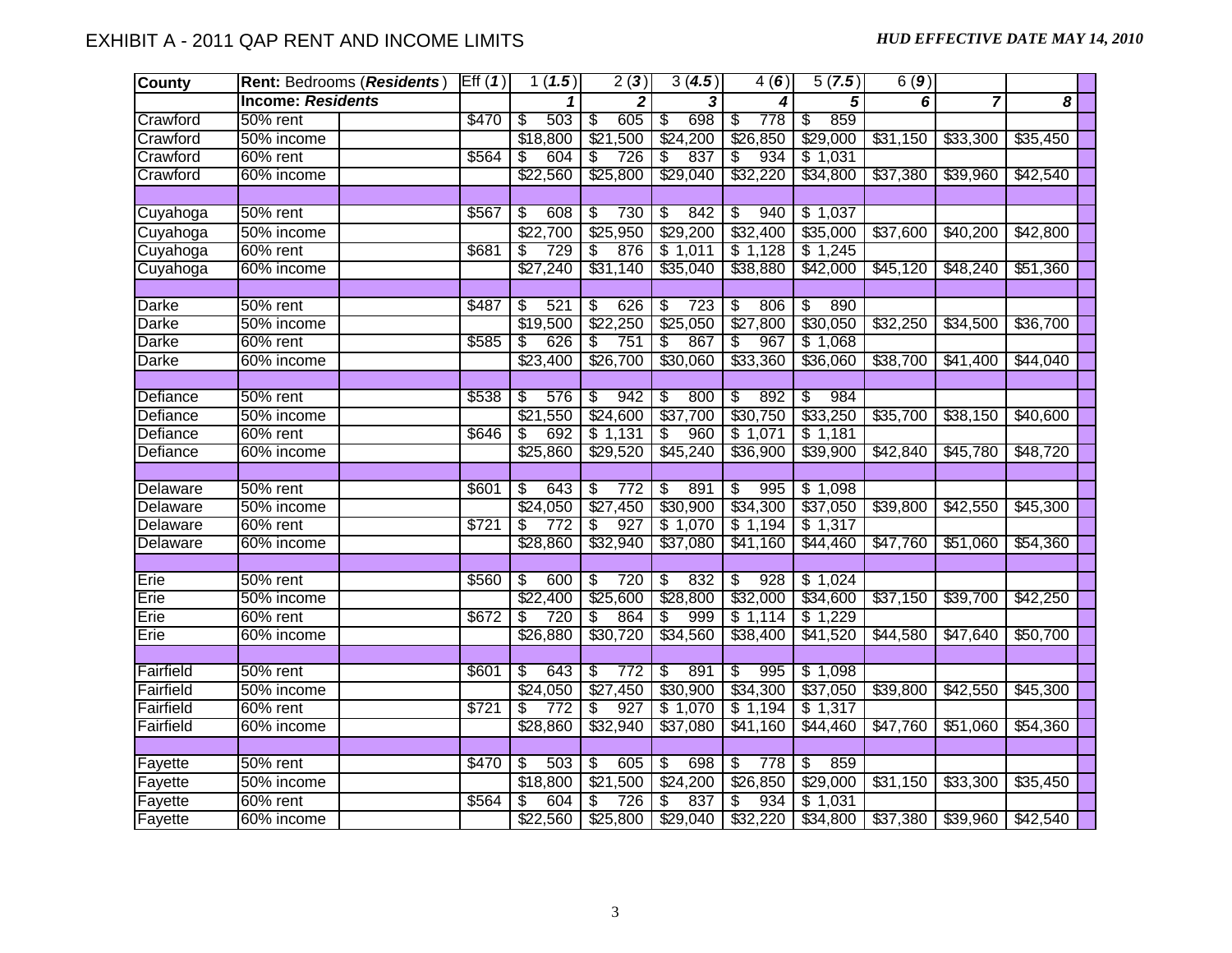| <b>County</b>   | <b>Rent: Bedrooms (Residents)</b> | Eff(1) | 1(1.5)                 | 2(3)                            | 3(4.5)                          | 4(6)                            | 5(7.5)                         | 6(9)     |                               |          |  |
|-----------------|-----------------------------------|--------|------------------------|---------------------------------|---------------------------------|---------------------------------|--------------------------------|----------|-------------------------------|----------|--|
|                 | <b>Income: Residents</b>          |        |                        | $\mathbf{2}$                    | 3                               | 4                               | 5                              | 6        | $\overline{7}$                | 8        |  |
| Crawford        | 50% rent                          | \$470  | 503<br>$\overline{\$}$ | 605<br>$\overline{\mathcal{E}}$ | 698<br>\$                       | 778<br>\$                       | 859<br>\$                      |          |                               |          |  |
| Crawford        | 50% income                        |        | \$18,800               | \$21,500                        | \$24,200                        | \$26,850                        | \$29,000                       | \$31,150 | \$33,300                      | \$35,450 |  |
| Crawford        | 60% rent                          | \$564  | 604<br>\$              | 726<br>\$                       | 837<br>\$                       | 934<br>S,                       | \$1,031                        |          |                               |          |  |
| Crawford        | 60% income                        |        | \$22,560               | \$25,800                        | \$29,040                        | \$32,220                        | \$34,800                       | \$37,380 | \$39,960                      | \$42,540 |  |
|                 |                                   |        |                        |                                 |                                 |                                 |                                |          |                               |          |  |
| Cuyahoga        | 50% rent                          | \$567  | 608<br>\$              | 730<br>$\overline{\mathcal{E}}$ | 842<br>$\overline{\mathcal{F}}$ | 940<br>$\overline{\mathcal{E}}$ | \$1,037                        |          |                               |          |  |
| Cuyahoga        | 50% income                        |        | $\sqrt{$22,700}$       | \$25,950                        | \$29,200                        | \$32,400                        | \$35,000                       | \$37,600 | \$40,200                      | \$42,800 |  |
| Cuyahoga        | 60% rent                          | \$681  | 729<br>\$              | 876<br>\$                       | \$1,011                         | \$1,128                         | \$1,245                        |          |                               |          |  |
| Cuyahoga        | 60% income                        |        | \$27,240               | \$31,140                        | \$35,040                        | \$38,880                        | \$42,000                       | \$45,120 | \$48,240                      | \$51,360 |  |
|                 |                                   |        |                        |                                 |                                 |                                 |                                |          |                               |          |  |
| <b>Darke</b>    | 50% rent                          | \$487  | 521<br>\$              | 626<br>$\overline{\mathcal{E}}$ | \$<br>723                       | 806<br>\$                       | 890<br>\$                      |          |                               |          |  |
| Darke           | 50% income                        |        | \$19,500               | \$22,250                        | \$25,050                        | \$27,800                        | \$30,050                       | \$32,250 | \$34,500                      | \$36,700 |  |
| <b>Darke</b>    | 60% rent                          | \$585  | \$<br>626              | \$<br>751                       | \$<br>867                       | \$<br>967                       | \$1,068                        |          |                               |          |  |
| <b>Darke</b>    | 60% income                        |        | \$23,400               | \$26,700                        | \$30,060                        | \$33,360                        | \$36,060                       | \$38,700 | \$41,400                      | \$44,040 |  |
|                 |                                   |        |                        |                                 |                                 |                                 |                                |          |                               |          |  |
| Defiance        | $50\%$ rent                       | \$538  | 576<br>\$              | 942<br>\$                       | \$<br>800                       | 892<br>\$                       | 984<br>\$                      |          |                               |          |  |
| Defiance        | 50% income                        |        | \$21,550               | \$24,600                        | \$37,700                        | \$30,750                        | \$33,250                       | \$35,700 | \$38,150                      | \$40,600 |  |
| Defiance        | 60% rent                          | \$646  | 692<br>S               | \$1,131                         | \$<br>960                       | \$1,071                         | \$1,181                        |          |                               |          |  |
| Defiance        | 60% income                        |        | \$25,860               | \$29,520                        | \$45,240                        | \$36,900                        | \$39,900                       | \$42,840 | \$45,780                      | \$48,720 |  |
|                 |                                   |        |                        |                                 |                                 |                                 |                                |          |                               |          |  |
| <b>Delaware</b> | 50% rent                          | \$601  | 643<br>\$              | \$<br>772                       | 891<br>\$                       | 995<br>\$                       | \$1,098                        |          |                               |          |  |
| Delaware        | 50% income                        |        | \$24,050               | \$27,450                        | \$30,900                        | \$34,300                        | \$37,050                       | \$39,800 | \$42,550                      | \$45,300 |  |
| Delaware        | 60% rent                          | \$721  | 772<br>\$              | 927<br>\$                       | \$1,070                         | \$1,194                         | \$1,317                        |          |                               |          |  |
| Delaware        | 60% income                        |        | \$28,860               | \$32,940                        | \$37,080                        | \$41,160                        | \$44,460                       | \$47,760 | \$51,060                      | \$54,360 |  |
|                 |                                   |        |                        |                                 |                                 |                                 |                                |          |                               |          |  |
| Erie            | 50% rent                          | \$560  | 600<br>\$              | 720<br>\$                       | 832<br>\$                       | 928<br>\$                       | \$1,024                        |          |                               |          |  |
| Erie            | 50% income                        |        | \$22,400               | \$25,600                        | \$28,800                        | \$32,000                        | \$34,600                       | \$37,150 | \$39,700                      | \$42,250 |  |
| Erie            | $60\%$ rent                       | \$672  | 720<br>\$              | $\overline{\$}$<br>864          | 999<br>\$                       | \$1,114                         | \$1,229                        |          |                               |          |  |
| Erie            | 60% income                        |        | \$26,880               | \$30,720                        | \$34,560                        | \$38,400                        | \$41,520                       | \$44,580 | \$47,640                      | \$50,700 |  |
|                 |                                   |        |                        |                                 |                                 |                                 |                                |          |                               |          |  |
| Fairfield       | 50% rent                          | \$601  | ड<br><br>643           | 772<br>\$                       | \$<br>891                       | 995<br>\$                       | \$1,098                        |          |                               |          |  |
| Fairfield       | 50% income                        |        | \$24,050               | \$27,450                        | \$30,900                        | \$34,300                        | \$37,050                       | \$39,800 | \$42,550                      | \$45,300 |  |
| Fairfield       | 60% rent                          | \$721  | 772<br>\$              | 927<br>$\overline{\mathcal{S}}$ | \$1,070                         | \$1,194                         | \$1,317                        |          |                               |          |  |
| Fairfield       | 60% income                        |        | \$28,860               | \$32,940                        | \$37,080                        | \$41,160                        | \$44,460                       | \$47,760 | \$51,060                      | \$54,360 |  |
|                 |                                   |        |                        |                                 |                                 |                                 |                                |          |                               |          |  |
| Fayette         | 50% rent                          | \$470  | 503<br>ङ               | 605<br>\$                       | $\overline{\mathcal{S}}$<br>698 | 778<br>$\overline{\mathbb{S}}$  | 859<br>$\overline{\mathbb{S}}$ |          |                               |          |  |
| Fayette         | 50% income                        |        | \$18,800               | \$21,500                        | \$24,200                        | \$26,850                        | \$29,000                       | \$31,150 | \$33,300                      | \$35,450 |  |
| Fayette         | 60% rent                          | \$564  | 604<br>\$              | 726<br>\$                       | 837<br>\$                       | 934<br>\$                       | \$1,031                        |          |                               |          |  |
| Fayette         | 60% income                        |        |                        | $$22,560$ $$25,800$             | \$29,040                        | \$32,220                        | \$34,800                       |          | $$37,380$ $$39,960$ $$42,540$ |          |  |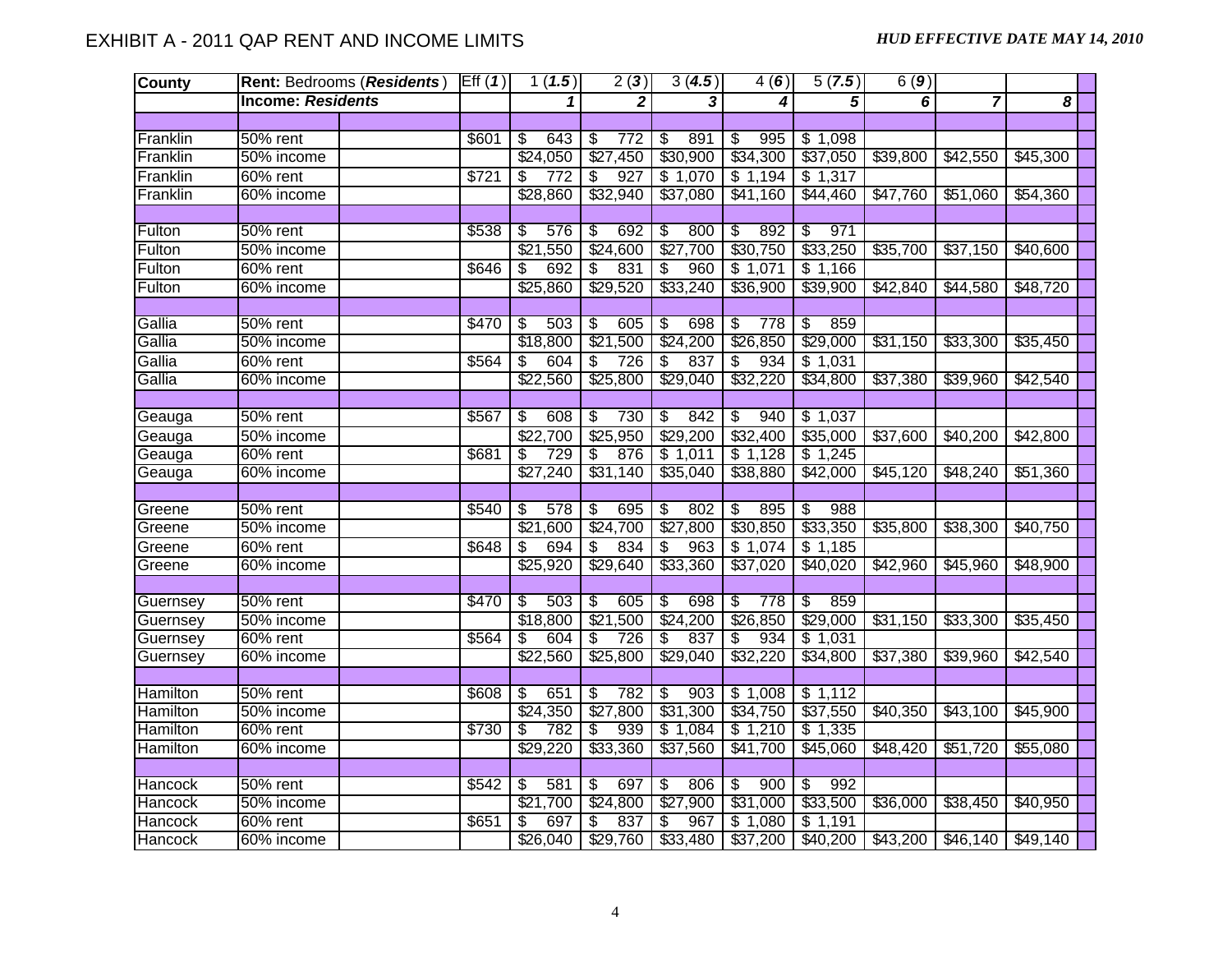| <b>County</b>   |                          | Rent: Bedrooms (Residents) Eff (1) |       | 1(1.5)                           | 2(3)                            | 3(4.5)                           | 4(6)                            | 5(7.5)                         | 6(9)                 |                      |                      |
|-----------------|--------------------------|------------------------------------|-------|----------------------------------|---------------------------------|----------------------------------|---------------------------------|--------------------------------|----------------------|----------------------|----------------------|
|                 | <b>Income: Residents</b> |                                    |       |                                  | $\mathbf{2}$                    | 3                                | 4                               | $\overline{5}$                 | 6                    | $\overline{7}$       | 8                    |
|                 |                          |                                    |       |                                  |                                 |                                  |                                 |                                |                      |                      |                      |
| Franklin        | $50%$ rent               |                                    | \$601 | 643<br>ड<br>                     | $\overline{\mathcal{E}}$<br>772 | 891<br>$\overline{\$}$           | 995<br>$\overline{\mathcal{E}}$ | \$1,098                        |                      |                      |                      |
| Franklin        | 50% income               |                                    |       | \$24,050                         | \$27,450                        | \$30,900                         | \$34,300                        | \$37,050                       | \$39,800             | \$42,550             | \$45,300             |
| Franklin        | 60% rent                 |                                    | \$721 | $\overline{772}$<br>\$           | $\overline{927}$<br>\$          | \$1,070                          | \$1,194                         | \$1,317                        |                      |                      |                      |
| Franklin        | 60% income               |                                    |       | \$28,860                         | \$32,940                        | \$37,080                         | \$41,160                        | \$44,460                       | \$47,760             | \$51,060             | \$54,360             |
|                 |                          |                                    |       |                                  |                                 |                                  |                                 |                                |                      |                      |                      |
| Fulton          | 50% rent                 |                                    | \$538 | \$<br>576                        | 692<br>\$                       | \$<br>800                        | \$<br>892                       | 971<br>\$                      |                      |                      |                      |
| Fulton          | 50% income               |                                    |       | \$21,550                         | \$24,600                        | \$27,700                         | \$30,750                        | \$33,250                       | \$35,700             | \$37,150             | \$40,600             |
| Fulton          | $60\%$ rent              |                                    | \$646 | $\boldsymbol{\mathsf{s}}$<br>692 | $\overline{\mathcal{S}}$<br>831 | $\overline{\mathcal{S}}$<br>960  | \$1,071                         | \$1,166                        |                      |                      |                      |
| Fulton          | 60% income               |                                    |       | \$25,860                         | \$29,520                        | \$33,240                         | \$36,900                        | \$39,900                       | \$42,840             | \$44,580             | \$48,720             |
|                 |                          |                                    |       |                                  |                                 |                                  |                                 |                                |                      |                      |                      |
| Gallia          | 50% rent                 |                                    | \$470 | 503<br>-\$                       | 605<br>\$                       | 698<br>\$                        | 778<br>\$                       | 859<br>\$                      |                      |                      |                      |
| Gallia          | 50% income               |                                    |       | \$18,800                         | \$21,500                        | \$24,200                         | \$26,850                        | \$29,000                       | \$31,150             | \$33,300             | \$35,450             |
| Gallia          | $\overline{60\%}$ rent   |                                    | \$564 | \$<br>604                        | \$<br>726                       | $\boldsymbol{\mathsf{S}}$<br>837 | 934<br>\$                       | \$1,031                        |                      |                      |                      |
| Gallia          | 60% income               |                                    |       | \$22,560                         | \$25,800                        | \$29,040                         | \$32,220                        | \$34,800                       | \$37,380             | \$39,960             | \$42,540             |
|                 |                          |                                    |       |                                  |                                 |                                  |                                 |                                |                      |                      |                      |
| Geauga          | 50% rent                 |                                    | \$567 | \$<br>608                        | 730<br>\$                       | \$<br>842                        | 940<br>\$                       | \$1,037                        |                      |                      |                      |
| Geauga          | 50% income               |                                    |       | $\sqrt{$22,700}$                 | \$25,950                        | \$29,200                         | \$32,400                        | \$35,000                       | $\overline{$}37,600$ | $\overline{$40,200}$ | $\overline{$}42,800$ |
| Geauga          | $60\%$ rent              |                                    | \$681 | 729<br>\$                        | 876<br>\$                       | \$1,011                          | \$1,128                         | \$1,245                        |                      |                      |                      |
| Geauga          | 60% income               |                                    |       | \$27,240                         | \$31,140                        | \$35,040                         | \$38,880                        | \$42,000                       | \$45,120             | \$48,240             | \$51,360             |
|                 |                          |                                    |       |                                  |                                 |                                  |                                 |                                |                      |                      |                      |
| Greene          | 50% rent                 |                                    | \$540 | 578<br>\$                        | $\overline{\$}$<br>695          | \$<br>802                        | $\overline{\$}$<br>895          | \$<br>988                      |                      |                      |                      |
| Greene          | 50% income               |                                    |       | \$21,600                         | \$24,700                        | \$27,800                         | \$30,850                        | \$33,350                       | \$35,800             | \$38,300             | \$40,750             |
| Greene          | 60% rent                 |                                    | \$648 | 694<br>\$                        | 834<br>S,                       | $\mathfrak{S}$<br>963            | \$1,074                         | \$1,185                        |                      |                      |                      |
| Greene          | 60% income               |                                    |       | \$25,920                         | \$29,640                        | \$33,360                         | \$37,020                        | \$40,020                       | \$42,960             | \$45,960             | \$48,900             |
|                 |                          |                                    |       |                                  |                                 |                                  |                                 |                                |                      |                      |                      |
| Guernsey        | 50% rent                 |                                    | \$470 | -\$<br>503                       | 605<br>$\overline{\mathcal{S}}$ | $\overline{\mathcal{S}}$<br>698  | $\overline{\mathbb{S}}$<br>778  | 859<br>\$                      |                      |                      |                      |
| Guernsey        | 50% income               |                                    |       | \$18,800                         | \$21,500                        | \$24,200                         | \$26,850                        | \$29,000                       | \$31,150             | \$33,300             | \$35,450             |
| Guernsey        | 60% rent                 |                                    | \$564 | 604<br>s,                        | S<br>726                        | S<br>837                         | \$<br>934                       | \$1,031                        |                      |                      |                      |
| Guernsey        | 60% income               |                                    |       | \$22,560                         | \$25,800                        | \$29,040                         | \$32,220                        | \$34,800                       | \$37,380             | \$39,960             | \$42,540             |
|                 |                          |                                    |       |                                  |                                 |                                  |                                 |                                |                      |                      |                      |
| Hamilton        | 50% rent                 |                                    | \$608 | 651<br>\$                        | 782<br>\$                       | 903<br>\$                        | \$1,008                         | \$1,112                        |                      |                      |                      |
| <b>Hamilton</b> | 50% income               |                                    |       | \$24,350                         | \$27,800                        | \$31,300                         | \$34,750                        | \$37,550                       | \$40,350             | \$43,100             | \$45,900             |
| <b>Hamilton</b> | 60% rent                 |                                    | \$730 | \$<br>782                        | 939<br>\$                       | \$1,084                          | \$1,210                         | \$1,335                        |                      |                      |                      |
| <b>Hamilton</b> | 60% income               |                                    |       | \$29,220                         | \$33,360                        | \$37,560                         | \$41,700                        | \$45,060                       | \$48,420             | \$51,720             | \$55,080             |
|                 |                          |                                    |       |                                  |                                 |                                  |                                 |                                |                      |                      |                      |
| <b>Hancock</b>  | 50% rent                 |                                    | \$542 | 581<br>\$                        | 697<br>\$                       | 806<br>\$                        | 900<br>\$                       | 992<br>$\overline{\mathbb{S}}$ |                      |                      |                      |
| <b>Hancock</b>  | 50% income               |                                    |       | \$21,700                         | \$24,800                        | \$27,900                         | \$31,000                        | \$33,500                       | \$36,000             | \$38,450             | \$40,950             |
| <b>Hancock</b>  | 60% rent                 |                                    | \$651 | 697<br>\$                        | 837<br>\$                       | $\overline{\mathbf{S}}$<br>967   | \$1,080                         | \$1,191                        |                      |                      |                      |
| Hancock         | 60% income               |                                    |       | \$26,040                         | \$29,760                        | \$33,480                         | \$37,200                        | \$40,200                       | \$43,200             | \$46,140             | \$49,140             |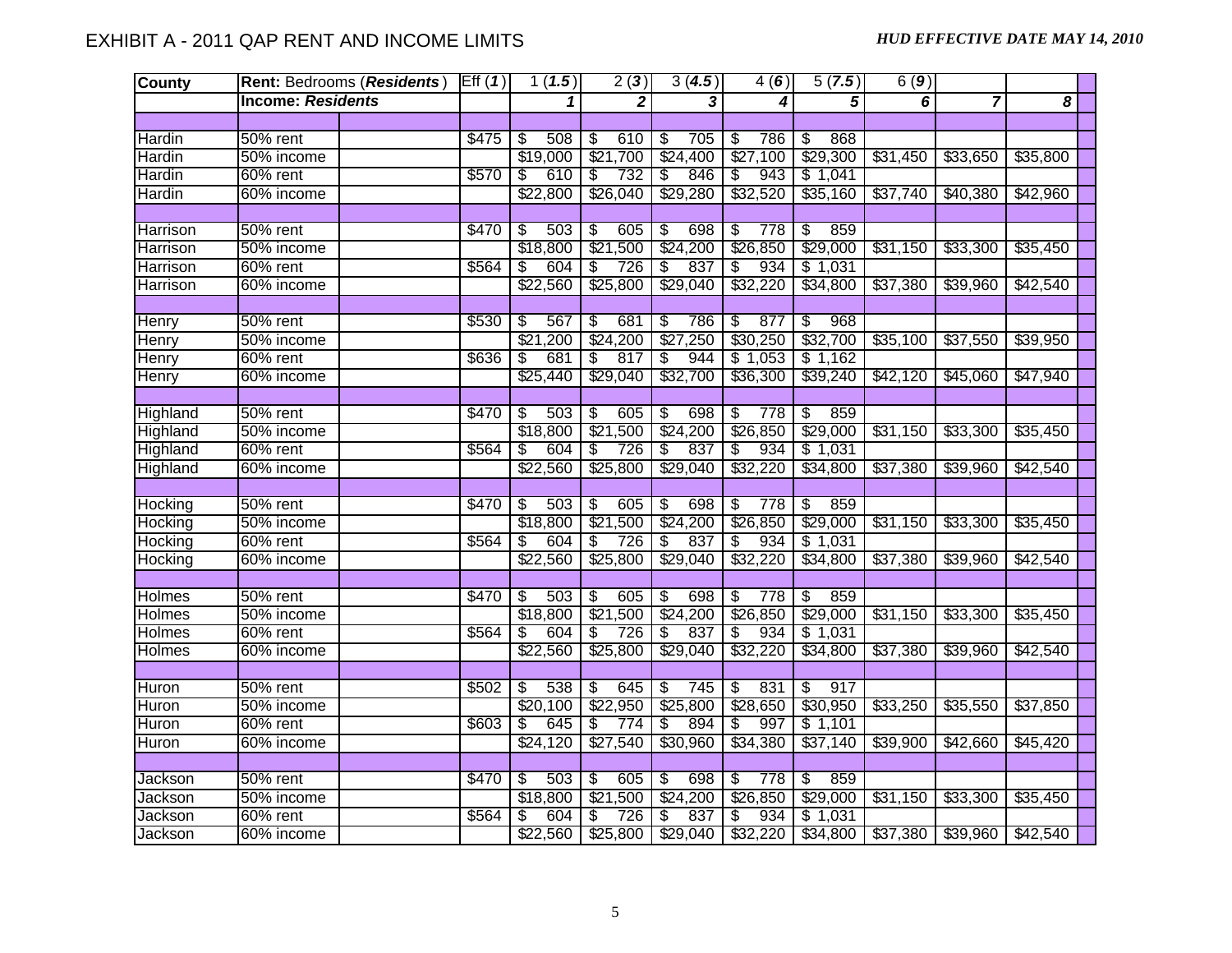| <b>County</b>   |                          | Rent: Bedrooms (Residents) Eff (1) |       | 1(1.5)                          | 2(3)                            | 3(4.5)                          | 4(6)                            | 5(7.5)                          | 6(9)     |                |          |
|-----------------|--------------------------|------------------------------------|-------|---------------------------------|---------------------------------|---------------------------------|---------------------------------|---------------------------------|----------|----------------|----------|
|                 | <b>Income: Residents</b> |                                    |       | $\mathbf{1}$                    | 2                               | 3                               | 4                               | $\overline{5}$                  | 6        | $\overline{7}$ | 8        |
|                 |                          |                                    |       |                                 |                                 |                                 |                                 |                                 |          |                |          |
| Hardin          | $50%$ rent               |                                    | \$475 | 508<br>$\overline{\mathcal{S}}$ | 610<br>\$                       | 705<br>$\overline{\mathcal{S}}$ | \$<br>786                       | 868<br>\$                       |          |                |          |
| <b>Hardin</b>   | 50% income               |                                    |       | \$19,000                        | \$21,700                        | \$24,400                        | \$27,100                        | \$29,300                        | \$31,450 | \$33,650       | \$35,800 |
| <b>Hardin</b>   | 60% rent                 |                                    | \$570 | \$<br>610                       | 732<br>$\overline{\mathcal{E}}$ | \$<br>846                       | 943<br>\$                       | \$1,041                         |          |                |          |
| Hardin          | 60% income               |                                    |       | \$22,800                        | \$26,040                        | \$29,280                        | \$32,520                        | \$35,160                        | \$37,740 | \$40,380       | \$42,960 |
|                 |                          |                                    |       |                                 |                                 |                                 |                                 |                                 |          |                |          |
| <b>Harrison</b> | $50%$ rent               |                                    | \$470 | s<br>503                        | \$<br>605                       | \$<br>698                       | 778<br>\$                       | 859<br>\$                       |          |                |          |
| <b>Harrison</b> | 50% income               |                                    |       | \$18,800                        | \$21,500                        | \$24,200                        | \$26,850                        | \$29,000                        | \$31,150 | \$33,300       | \$35,450 |
| Harrison        | 60% rent                 |                                    | \$564 | 604<br>\$                       | $\overline{\mathcal{E}}$<br>726 | \$<br>837                       | 934<br>\$                       | \$1,031                         |          |                |          |
| <b>Harrison</b> | 60% income               |                                    |       | \$22,560                        | \$25,800                        | \$29,040                        | \$32,220                        | \$34,800                        | \$37,380 | \$39,960       | \$42,540 |
|                 |                          |                                    |       |                                 |                                 |                                 |                                 |                                 |          |                |          |
| <b>Henry</b>    | 50% rent                 |                                    | \$530 | \$<br>567                       | 681<br>\$                       | \$<br>786                       | 877<br>\$                       | 968<br>\$                       |          |                |          |
| <b>Henry</b>    | 50% income               |                                    |       | \$21,200                        | \$24,200                        | \$27,250                        | \$30,250                        | \$32,700                        | \$35,100 | \$37,550       | \$39,950 |
| <b>Henry</b>    | 60% rent                 |                                    | \$636 | 681<br>\$                       | 817<br>\$                       | 944<br>\$                       | \$1,053                         | \$1,162                         |          |                |          |
| Henry           | 60% income               |                                    |       | \$25,440                        | \$29,040                        | \$32,700                        | \$36,300                        | \$39,240                        | \$42,120 | \$45,060       | \$47,940 |
|                 |                          |                                    |       |                                 |                                 |                                 |                                 |                                 |          |                |          |
| <b>Highland</b> | 50% rent                 |                                    | \$470 | $\overline{\mathcal{S}}$<br>503 | $\overline{\mathcal{E}}$<br>605 | \$<br>698                       | $\overline{\mathcal{E}}$<br>778 | \$<br>859                       |          |                |          |
| Highland        | 50% income               |                                    |       | \$18,800                        | \$21,500                        | \$24,200                        | \$26,850                        | \$29,000                        | \$31,150 | \$33,300       | \$35,450 |
| Highland        | 60% rent                 |                                    | \$564 | 604<br>\$                       | 726<br>\$                       | $\overline{\$}$<br>837          | 934<br>\$                       | \$1,031                         |          |                |          |
| Highland        | 60% income               |                                    |       | \$22,560                        | \$25,800                        | \$29,040                        | \$32,220                        | \$34,800                        | \$37,380 | \$39,960       | \$42,540 |
|                 |                          |                                    |       |                                 |                                 |                                 |                                 |                                 |          |                |          |
| Hocking         | $50\%$ rent              |                                    | \$470 | -\$<br>503                      | $\overline{\mathcal{E}}$<br>605 | $\overline{\mathcal{S}}$<br>698 | 778<br>$\overline{\mathcal{E}}$ | $\sqrt[6]{\frac{2}{5}}$<br>859  |          |                |          |
| <b>Hocking</b>  | 50% income               |                                    |       | \$18,800                        | \$21,500                        | \$24,200                        | \$26,850                        | \$29,000                        | \$31,150 | \$33,300       | \$35,450 |
| Hocking         | $60\%$ rent              |                                    | \$564 | \$<br>604                       | \$<br>726                       | 837<br>\$                       | 934<br>\$                       | \$1,031                         |          |                |          |
| Hocking         | 60% income               |                                    |       | \$22,560                        | \$25,800                        | \$29,040                        | \$32,220                        | \$34,800                        | \$37,380 | \$39,960       | \$42,540 |
|                 |                          |                                    |       |                                 |                                 |                                 |                                 |                                 |          |                |          |
| Holmes          | 50% rent                 |                                    | \$470 | 503<br>\$                       | 605<br>\$                       | \$<br>698                       | 778<br>\$                       | $\overline{\mathcal{S}}$<br>859 |          |                |          |
| Holmes          | 50% income               |                                    |       | \$18,800                        | \$21,500                        | \$24,200                        | \$26,850                        | \$29,000                        | \$31,150 | \$33,300       | \$35,450 |
| <b>Holmes</b>   | 60% rent                 |                                    | \$564 | 604<br>S                        | \$<br>726                       | \$<br>837                       | 934<br>\$                       | \$1,031                         |          |                |          |
| Holmes          | 60% income               |                                    |       | \$22,560                        | \$25,800                        | \$29,040                        | \$32,220                        | \$34,800                        | \$37,380 | \$39,960       | \$42,540 |
|                 |                          |                                    |       |                                 |                                 |                                 |                                 |                                 |          |                |          |
| Huron           | 50% rent                 |                                    | \$502 | 538<br>\$                       | 645<br>\$                       | \$<br>745                       | 831<br>\$                       | s)<br>917                       |          |                |          |
| Huron           | 50% income               |                                    |       | \$20,100                        | \$22,950                        | \$25,800                        | \$28,650                        | \$30,950                        | \$33,250 | \$35,550       | \$37,850 |
| Huron           | 60% rent                 |                                    | \$603 | 645<br>\$                       | \$<br>774                       | 894<br>\$                       | 997<br>\$                       | \$1,101                         |          |                |          |
| Huron           | 60% income               |                                    |       | \$24,120                        | \$27,540                        | \$30,960                        | \$34,380                        | \$37,140                        | \$39,900 | \$42,660       | \$45,420 |
|                 |                          |                                    |       |                                 |                                 |                                 |                                 |                                 |          |                |          |
| Jackson         | $50\%$ rent              |                                    | \$470 | 503<br>$\overline{\mathcal{S}}$ | 605<br>\$                       | 698<br>$\overline{\mathcal{S}}$ | \$<br>778                       | $\overline{\$}$<br>859          |          |                |          |
| Jackson         | 50% income               |                                    |       | \$18,800                        | \$21,500                        | \$24,200                        | \$26,850                        | \$29,000                        | \$31,150 | \$33,300       | \$35,450 |
| Jackson         | 60% rent                 |                                    | \$564 | 604<br>\$                       | \$<br>726                       | \$<br>837                       | 934<br>\$                       | \$1,031                         |          |                |          |
| Jackson         | 60% income               |                                    |       |                                 | $$22,560$ $$25,800$             | \$29,040                        | \$32,220                        | \$34,800                        | \$37,380 | \$39,960       | \$42,540 |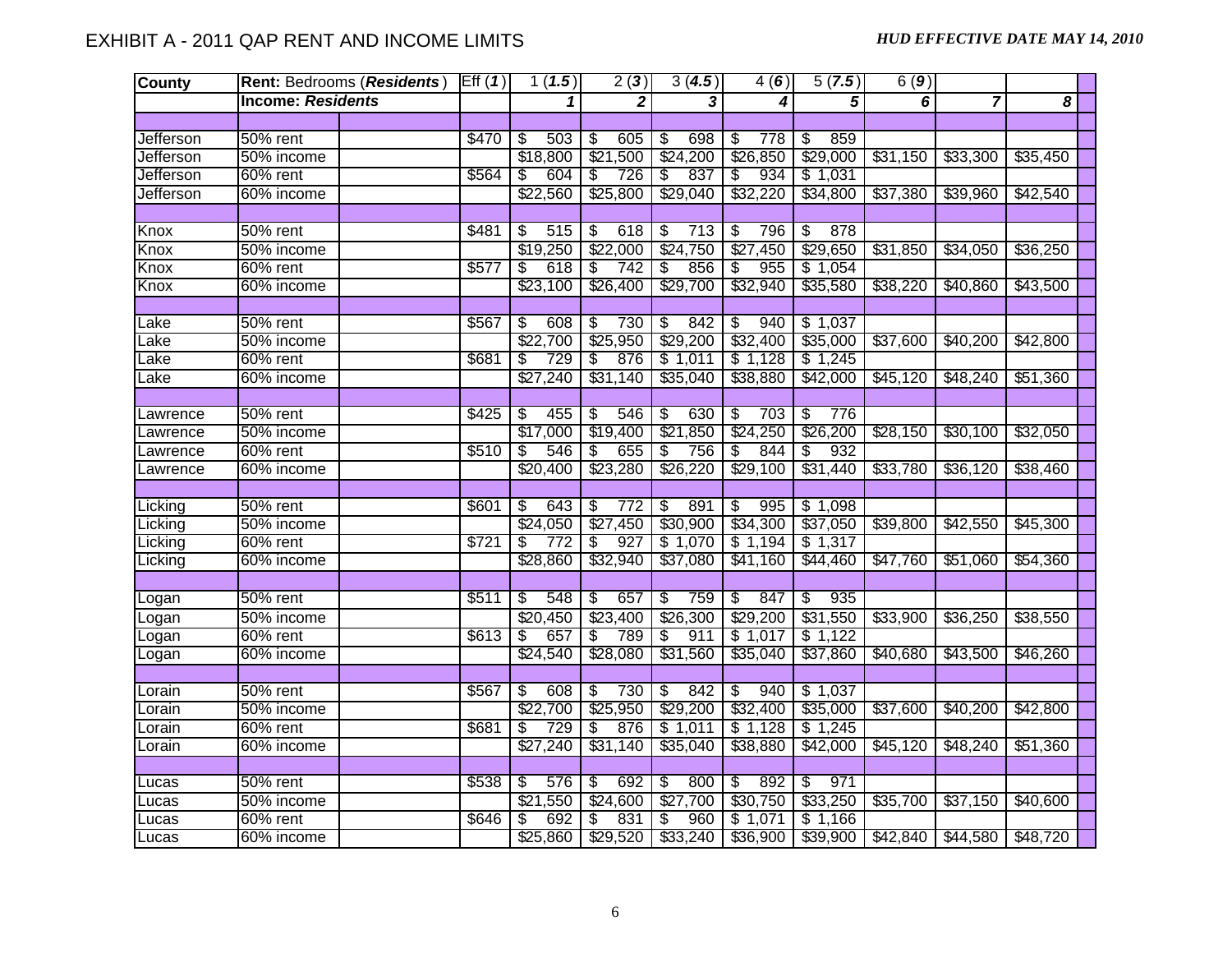| <b>County</b>    |                          | Rent: Bedrooms (Residents) Eff (1) |       | 1(1.5)                          | 2(3)                             | 3(4.5)                          | 4(6)                            | 5(7.5)                          | 6(9)     |                |          |  |
|------------------|--------------------------|------------------------------------|-------|---------------------------------|----------------------------------|---------------------------------|---------------------------------|---------------------------------|----------|----------------|----------|--|
|                  | <b>Income: Residents</b> |                                    |       | 1                               | $\mathbf{2}$                     | ىنا                             | 4                               | $\overline{5}$                  | 6        | $\overline{7}$ | 8        |  |
|                  |                          |                                    |       |                                 |                                  |                                 |                                 |                                 |          |                |          |  |
| Jefferson        | 50% rent                 |                                    | \$470 | 503<br>$\overline{\mathcal{S}}$ | $\overline{\mathcal{S}}$<br>605  | 698<br>$\overline{\mathcal{S}}$ | 778<br>$\overline{\mathcal{S}}$ | 859<br>\$                       |          |                |          |  |
| Jefferson        | 50% income               |                                    |       | \$18,800                        | \$21,500                         | \$24,200                        | \$26,850                        | \$29,000                        | \$31,150 | \$33,300       | \$35,450 |  |
| <b>Jefferson</b> | 60% rent                 |                                    | \$564 | 604<br>\$                       | 726<br>\$                        | 837<br>\$                       | 934<br>\$                       | \$1,031                         |          |                |          |  |
| Jefferson        | 60% income               |                                    |       | \$22,560                        | \$25,800                         | \$29,040                        | \$32,220                        | \$34,800                        | \$37,380 | \$39,960       | \$42,540 |  |
|                  |                          |                                    |       |                                 |                                  |                                 |                                 |                                 |          |                |          |  |
| Knox             | 50% rent                 |                                    | \$481 | $\mathfrak{S}$<br>515           | 618<br>$\boldsymbol{\mathsf{S}}$ | \$<br>713                       | \$<br>796                       | 878<br>\$                       |          |                |          |  |
| Knox             | 50% income               |                                    |       | \$19,250                        | \$22,000                         | \$24,750                        | \$27,450                        | \$29,650                        | \$31,850 | \$34,050       | \$36,250 |  |
| Knox             | 60% rent                 |                                    | \$577 | 618<br>\$                       | \$<br>742                        | 856<br>\$                       | 955<br>\$                       | \$1,054                         |          |                |          |  |
| Knox             | 60% income               |                                    |       | \$23,100                        | \$26,400                         | \$29,700                        | \$32,940                        | \$35,580                        | \$38,220 | \$40,860       | \$43,500 |  |
|                  |                          |                                    |       |                                 |                                  |                                 |                                 |                                 |          |                |          |  |
| Lake             | 50% rent                 |                                    | \$567 | 608<br>\$                       | 730<br>S.                        | $\overline{\mathcal{F}}$<br>842 | \$<br>940                       | \$1,037                         |          |                |          |  |
| Lake             | 50% income               |                                    |       | \$22,700                        | \$25,950                         | \$29,200                        | \$32,400                        | \$35,000                        | \$37,600 | \$40,200       | \$42,800 |  |
| Lake             | 60% rent                 |                                    | \$681 | 729<br>S                        | 876<br>\$                        | \$1,011                         | \$1,128                         | \$1,245                         |          |                |          |  |
| Lake             | 60% income               |                                    |       | \$27,240                        | \$31,140                         | \$35,040                        | \$38,880                        | \$42,000                        | \$45,120 | \$48,240       | \$51,360 |  |
|                  |                          |                                    |       |                                 |                                  |                                 |                                 |                                 |          |                |          |  |
| Lawrence         | 50% rent                 |                                    | \$425 | 455<br>\$                       | 546<br>$\overline{\mathcal{E}}$  | $\overline{\mathcal{F}}$<br>630 | $\overline{\mathcal{E}}$<br>703 | $\overline{\$}$<br>776          |          |                |          |  |
| Lawrence         | 50% income               |                                    |       | \$17,000                        | \$19,400                         | \$21,850                        | \$24,250                        | \$26,200                        | \$28,150 | \$30,100       | \$32,050 |  |
| Lawrence         | $60\%$ rent              |                                    | \$510 | 546<br>\$                       | 655<br>\$                        | $\sqrt[6]{\frac{2}{5}}$<br>756  | \$<br>844                       | 932<br>\$                       |          |                |          |  |
| Lawrence         | 60% income               |                                    |       | \$20,400                        | \$23,280                         | \$26,220                        | \$29,100                        | \$31,440                        | \$33,780 | \$36,120       | \$38,460 |  |
|                  |                          |                                    |       |                                 |                                  |                                 |                                 |                                 |          |                |          |  |
| Licking          | 50% rent                 |                                    | \$601 | \$<br>643                       | S<br>772                         | $\overline{\$}$<br>891          | 995<br>\$                       | \$1,098                         |          |                |          |  |
| Licking          | 50% income               |                                    |       | \$24,050                        | \$27,450                         | \$30,900                        | \$34,300                        | \$37,050                        | \$39,800 | \$42,550       | \$45,300 |  |
| Licking          | $60\%$ rent              |                                    | \$721 | S<br>$\overline{772}$           | 927<br>\$                        | \$1,070                         | \$1,194                         | \$1,317                         |          |                |          |  |
| Licking          | 60% income               |                                    |       | \$28,860                        | \$32,940                         | \$37,080                        | \$41,160                        | \$44,460                        | \$47,760 | \$51,060       | \$54,360 |  |
|                  |                          |                                    |       |                                 |                                  |                                 |                                 |                                 |          |                |          |  |
| Logan            | 50% rent                 |                                    | \$511 | \$<br>548                       | 657<br>\$                        | \$<br>759                       | 847<br>\$                       | 935<br>\$                       |          |                |          |  |
| Logan            | 50% income               |                                    |       | \$20,450                        | \$23,400                         | \$26,300                        | \$29,200                        | \$31,550                        | \$33,900 | \$36,250       | \$38,550 |  |
| Logan            | 60% rent                 |                                    | \$613 | 657<br>\$                       | S<br>789                         | 911<br>\$                       | \$1,017                         | \$1,122                         |          |                |          |  |
| Logan            | 60% income               |                                    |       | \$24,540                        | \$28,080                         | \$31,560                        | \$35,040                        | \$37,860                        | \$40,680 | \$43,500       | \$46,260 |  |
|                  |                          |                                    |       |                                 |                                  |                                 |                                 |                                 |          |                |          |  |
| Lorain           | 50% rent                 |                                    | \$567 | S<br>608                        | 730<br>S                         | $\overline{\mathcal{S}}$<br>842 | 940<br>$\overline{\mathcal{E}}$ | \$1,037                         |          |                |          |  |
| Lorain           | 50% income               |                                    |       | \$22,700                        | \$25,950                         | \$29,200                        | \$32,400                        | \$35,000                        | \$37,600 | \$40,200       | \$42,800 |  |
| Lorain           | 60% rent                 |                                    | \$681 | 729<br>\$                       | 876<br>\$                        | \$1,011                         | \$1,128                         | \$1,245                         |          |                |          |  |
| Lorain           | 60% income               |                                    |       | \$27,240                        | \$31,140                         | \$35,040                        | \$38,880                        | \$42,000                        | \$45,120 | \$48,240       | \$51,360 |  |
|                  |                          |                                    |       |                                 |                                  |                                 |                                 |                                 |          |                |          |  |
| Lucas            | 50% rent                 |                                    | \$538 | 576<br>\$                       | 692<br>$\overline{\mathcal{S}}$  | -\$<br>800                      | $\overline{\mathcal{E}}$<br>892 | 971<br>$\overline{\mathcal{E}}$ |          |                |          |  |
| Lucas            | 50% income               |                                    |       | \$21,550                        | \$24,600                         | \$27,700                        | \$30,750                        | \$33,250                        | \$35,700 | \$37,150       | \$40,600 |  |
| Lucas            | 60% rent                 |                                    | \$646 | 692<br>\$                       | 831<br>\$                        | 960<br>\$                       | \$1,071                         | \$1,166                         |          |                |          |  |
| Lucas            | 60% income               |                                    |       |                                 | $$25,860$ $$29,520$ $$33,240$    |                                 | \$36,900                        | \$39,900                        | \$42,840 | \$44,580       | \$48,720 |  |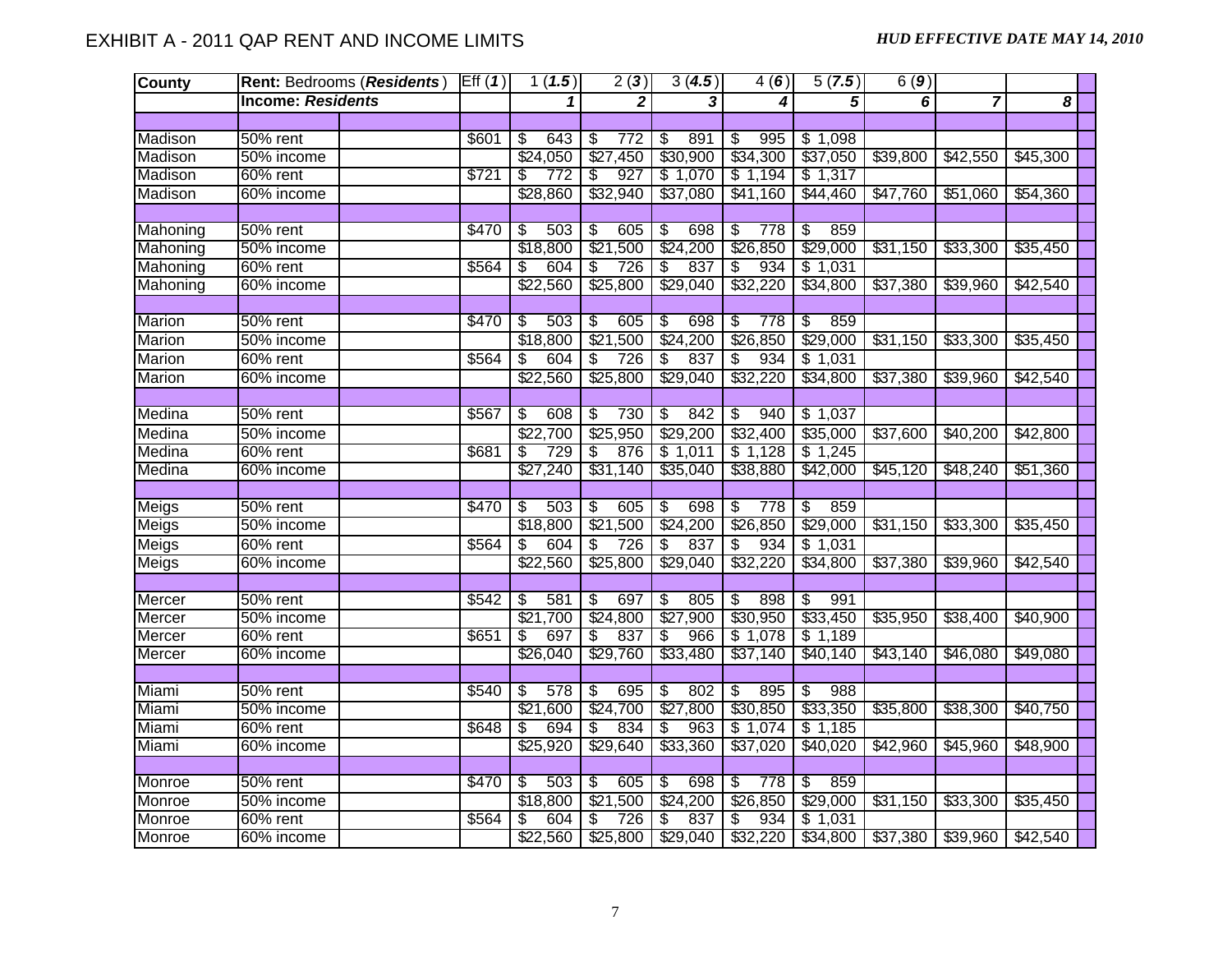| <b>County</b> |                          | Rent: Bedrooms (Residents)   Eff (1) |       | 1(1.5)                          | 2(3)                            | 3(4.5)                          | 4(6)                            | 5(7.5)                          | 6(9)     |                |          |
|---------------|--------------------------|--------------------------------------|-------|---------------------------------|---------------------------------|---------------------------------|---------------------------------|---------------------------------|----------|----------------|----------|
|               | <b>Income: Residents</b> |                                      |       |                                 | $\mathbf{2}$                    | 3                               | 4                               | $\overline{5}$                  | 6        | $\overline{7}$ | 8        |
|               |                          |                                      |       |                                 |                                 |                                 |                                 |                                 |          |                |          |
| Madison       | 50% rent                 |                                      | \$601 | 643<br>\$                       | $\overline{\mathcal{S}}$<br>772 | 891<br>$\overline{\mathcal{S}}$ | 995<br>-\$                      | \$1,098                         |          |                |          |
| Madison       | 50% income               |                                      |       | \$24,050                        | \$27,450                        | \$30,900                        | \$34,300                        | \$37,050                        | \$39,800 | \$42,550       | \$45,300 |
| Madison       | 60% rent                 |                                      | \$721 | 772<br>S                        | 927<br>\$                       | \$1,070                         | \$1,194                         | \$1,317                         |          |                |          |
| Madison       | 60% income               |                                      |       | \$28,860                        | \$32,940                        | \$37,080                        | \$41,160                        | \$44,460                        | \$47,760 | \$51,060       | \$54,360 |
|               |                          |                                      |       |                                 |                                 |                                 |                                 |                                 |          |                |          |
| Mahoning      | 50% rent                 |                                      | \$470 | 503<br>\$                       | \$<br>605                       | 698<br>\$                       | 778<br>\$                       | 859<br>\$                       |          |                |          |
| Mahoning      | 50% income               |                                      |       | \$18,800                        | \$21,500                        | \$24,200                        | \$26,850                        | \$29,000                        | \$31,150 | \$33,300       | \$35,450 |
| Mahoning      | 60% rent                 |                                      | \$564 | 604<br>S                        | \$<br>726                       | 837<br>\$                       | 934<br>\$                       | \$1,031                         |          |                |          |
| Mahoning      | 60% income               |                                      |       | \$22,560                        | \$25,800                        | \$29,040                        | \$32,220                        | \$34,800                        | \$37,380 | \$39,960       | \$42,540 |
|               |                          |                                      |       |                                 |                                 |                                 |                                 |                                 |          |                |          |
| Marion        | 50% rent                 |                                      | \$470 | 503<br>$\overline{\mathcal{S}}$ | 605<br>$\overline{\mathcal{E}}$ | $\sqrt[6]{\frac{2}{5}}$<br>698  | \$<br>778                       | $\overline{\$}$<br>859          |          |                |          |
| Marion        | 50% income               |                                      |       | \$18,800                        | \$21,500                        | \$24,200                        | \$26,850                        | \$29,000                        | \$31,150 | \$33,300       | \$35,450 |
| Marion        | 60% rent                 |                                      | \$564 | \$<br>604                       | \$<br>726                       | \$<br>837                       | 934<br>\$                       | \$1,031                         |          |                |          |
| Marion        | 60% income               |                                      |       | \$22,560                        | \$25,800                        | \$29,040                        | \$32,220                        | \$34,800                        | \$37,380 | \$39,960       | \$42,540 |
|               |                          |                                      |       |                                 |                                 |                                 |                                 |                                 |          |                |          |
| Medina        | 50% rent                 |                                      | \$567 | 608<br>\$                       | 730<br>$\overline{\mathcal{E}}$ | $\overline{\mathcal{S}}$<br>842 | $\overline{\mathcal{E}}$<br>940 | \$1,037                         |          |                |          |
| Medina        | 50% income               |                                      |       | $\sqrt{$22,700}$                | \$25,950                        | \$29,200                        | \$32,400                        | \$35,000                        | \$37,600 | \$40,200       | \$42,800 |
| Medina        | 60% rent                 |                                      | \$681 | 729<br>\$                       | 876<br>\$                       | \$1,011                         | \$1,128                         | \$1,245                         |          |                |          |
| Medina        | 60% income               |                                      |       | \$27,240                        | \$31,140                        | \$35,040                        | \$38,880                        | \$42,000                        | \$45,120 | \$48,240       | \$51,360 |
|               |                          |                                      |       |                                 |                                 |                                 |                                 |                                 |          |                |          |
| Meigs         | 50% rent                 |                                      | \$470 | -\$<br>503                      | $\overline{\$}$<br>605          | $\overline{\mathcal{S}}$<br>698 | 778<br>\$                       | $\overline{\mathcal{E}}$<br>859 |          |                |          |
| Meigs         | 50% income               |                                      |       | \$18,800                        | \$21,500                        | \$24,200                        | \$26,850                        | \$29,000                        | \$31,150 | \$33,300       | \$35,450 |
| Meigs         | 60% rent                 |                                      | \$564 | 604<br>\$                       | 726<br>$\overline{\mathcal{S}}$ | $\overline{\mathbf{S}}$<br>837  | s,<br>934                       | \$1,031                         |          |                |          |
| <b>Meigs</b>  | 60% income               |                                      |       | \$22,560                        | \$25,800                        | \$29,040                        | \$32,220                        | \$34,800                        | \$37,380 | \$39,960       | \$42,540 |
|               |                          |                                      |       |                                 |                                 |                                 |                                 |                                 |          |                |          |
| Mercer        | 50% rent                 |                                      | \$542 | 581<br>\$                       | 697<br>$\overline{\mathcal{E}}$ | 805<br>\$                       | 898<br>\$                       | 991<br>\$                       |          |                |          |
| Mercer        | 50% income               |                                      |       | \$21,700                        | \$24,800                        | \$27,900                        | \$30,950                        | \$33,450                        | \$35,950 | \$38,400       | \$40,900 |
| Mercer        | 60% rent                 |                                      | \$651 | S<br>697                        | S<br>837                        | \$<br>966                       | \$1,078                         | \$1,189                         |          |                |          |
| Mercer        | 60% income               |                                      |       | \$26,040                        | \$29,760                        | \$33,480                        | \$37,140                        | \$40,140                        | \$43,140 | \$46,080       | \$49,080 |
|               |                          |                                      |       |                                 |                                 |                                 |                                 |                                 |          |                |          |
| Miami         | 50% rent                 |                                      | \$540 | S<br>578                        | 695<br>\$                       | $\overline{\$}$<br>802          | 895<br>$\overline{\mathcal{E}}$ | S<br>988                        |          |                |          |
| Miami         | 50% income               |                                      |       | \$21,600                        | \$24,700                        | \$27,800                        | \$30,850                        | \$33,350                        | \$35,800 | \$38,300       | \$40,750 |
| Miami         | 60% rent                 |                                      | \$648 | 694<br>S                        | 834<br>\$                       | \$<br>963                       | \$1,074                         | \$1,185                         |          |                |          |
| Miami         | 60% income               |                                      |       | \$25,920                        | \$29,640                        | \$33,360                        | \$37,020                        | \$40,020                        | \$42,960 | \$45,960       | \$48,900 |
|               |                          |                                      |       |                                 |                                 |                                 |                                 |                                 |          |                |          |
| Monroe        | 50% rent                 |                                      | \$470 | 503<br>s,                       | 605<br>\$                       | 698<br>$\overline{\mathcal{S}}$ | 778<br>\$                       | 859<br>$\overline{\mathbb{S}}$  |          |                |          |
| Monroe        | 50% income               |                                      |       | \$18,800                        | \$21,500                        | \$24,200                        | \$26,850                        | \$29,000                        | \$31,150 | \$33,300       | \$35,450 |
| Monroe        | 60% rent                 |                                      | \$564 | 604<br>\$                       | 726<br>\$                       | 837<br>\$                       | 934<br>\$                       | \$1,031                         |          |                |          |
| Monroe        | 60% income               |                                      |       |                                 | $$22,560$ $$25,800$             | \$29,040                        | \$32,220                        | \$34,800                        | \$37,380 | \$39,960       | \$42,540 |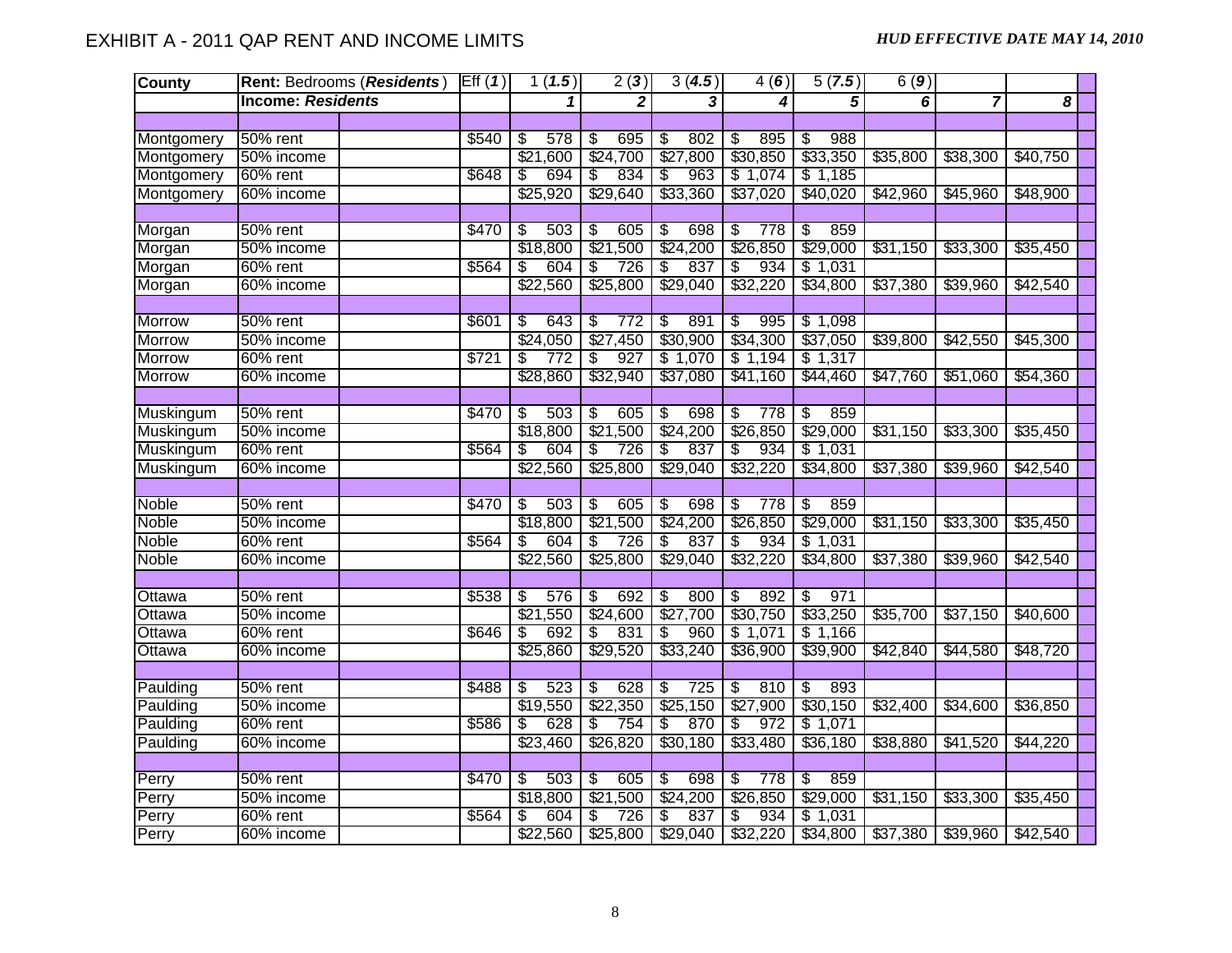| <b>County</b> |                          | Rent: Bedrooms (Residents) | Eff(1) | 1(1.5)     | 2(3)                            | 3(4.5)                          | 4(6)                            | 5(7.5)                          | 6(9)     |                |          |  |
|---------------|--------------------------|----------------------------|--------|------------|---------------------------------|---------------------------------|---------------------------------|---------------------------------|----------|----------------|----------|--|
|               | <b>Income: Residents</b> |                            |        | 1          | $\mathbf{2}$                    | 3                               | 4                               | 5                               | 6        | $\overline{7}$ | 8        |  |
|               |                          |                            |        |            |                                 |                                 |                                 |                                 |          |                |          |  |
| Montgomery    | 50% rent                 |                            | \$540  | 578<br>\$  | 695<br>\$                       | 802<br>\$                       | 895<br>\$                       | 988<br>\$                       |          |                |          |  |
| Montgomery    | 50% income               |                            |        | \$21,600   | \$24,700                        | \$27,800                        | \$30,850                        | \$33,350                        | \$35,800 | \$38,300       | \$40,750 |  |
| Montgomery    | 60% rent                 |                            | \$648  | 694<br>\$  | 834<br>\$                       | 963<br>\$                       | \$1,074                         | \$1,185                         |          |                |          |  |
| Montgomery    | 60% income               |                            |        | \$25,920   | \$29,640                        | \$33,360                        | \$37,020                        | \$40,020                        | \$42,960 | \$45,960       | \$48,900 |  |
|               |                          |                            |        |            |                                 |                                 |                                 |                                 |          |                |          |  |
| Morgan        | $50%$ rent               |                            | \$470  | s<br>503   | $\overline{\$}$<br>605          | \$<br>698                       | 778<br>\$                       | $\overline{\mathcal{S}}$<br>859 |          |                |          |  |
| Morgan        | 50% income               |                            |        | \$18,800   | \$21,500                        | \$24,200                        | \$26,850                        | \$29,000                        | \$31,150 | \$33,300       | \$35,450 |  |
| Morgan        | 60% rent                 |                            | \$564  | 604<br>\$  | \$<br>726                       | 837<br>\$                       | \$<br>934                       | \$1,031                         |          |                |          |  |
| Morgan        | 60% income               |                            |        | \$22,560   | \$25,800                        | \$29,040                        | \$32,220                        | \$34,800                        | \$37,380 | \$39,960       | \$42,540 |  |
|               |                          |                            |        |            |                                 |                                 |                                 |                                 |          |                |          |  |
| <b>Morrow</b> | 50% rent                 |                            | \$601  | 643<br>\$  | 772<br>\$                       | 891<br>\$                       | 995<br>\$                       | \$1,098                         |          |                |          |  |
| <b>Morrow</b> | 50% income               |                            |        | \$24,050   | \$27,450                        | \$30,900                        | \$34,300                        | \$37,050                        | \$39,800 | \$42,550       | \$45,300 |  |
| <b>Morrow</b> | 60% rent                 |                            | \$721  | 772<br>\$  | 927<br>\$                       | \$1,070                         | \$1,194                         | \$1,317                         |          |                |          |  |
| <b>Morrow</b> | 60% income               |                            |        | \$28,860   | \$32,940                        | \$37,080                        | \$41,160                        | \$44,460                        | \$47,760 | \$51,060       | \$54,360 |  |
|               |                          |                            |        |            |                                 |                                 |                                 |                                 |          |                |          |  |
| Muskingum     | 50% rent                 |                            | \$470  | \$<br>503  | 605<br>$\overline{\mathcal{E}}$ | 698<br>\$                       | \$<br>778                       | $\overline{\$}$<br>859          |          |                |          |  |
| Muskingum     | 50% income               |                            |        | \$18,800   | \$21,500                        | \$24,200                        | \$26,850                        | \$29,000                        | \$31,150 | \$33,300       | \$35,450 |  |
| Muskingum     | 60% rent                 |                            | \$564  | 604<br>S   | 726<br>S                        | 837<br>S                        | 934<br>\$                       | \$1,031                         |          |                |          |  |
| Muskingum     | 60% income               |                            |        | \$22,560   | \$25,800                        | \$29,040                        | \$32,220                        | \$34,800                        | \$37,380 | \$39,960       | \$42,540 |  |
|               |                          |                            |        |            |                                 |                                 |                                 |                                 |          |                |          |  |
| Noble         | 50% rent                 |                            | \$470  | 503<br>-\$ | 605<br>\$                       | 698<br>$\overline{\mathcal{S}}$ | $\overline{\mathcal{E}}$<br>778 | 859<br>$\overline{\mathbb{S}}$  |          |                |          |  |
| Noble         | 50% income               |                            |        | \$18,800   | \$21,500                        | \$24,200                        | \$26,850                        | \$29,000                        | \$31,150 | \$33,300       | \$35,450 |  |
| Noble         | $60\%$ rent              |                            | \$564  | 604<br>\$  | $\overline{\mathbb{S}}$<br>726  | 837<br>s)                       | 934<br>\$                       | \$1,031                         |          |                |          |  |
| Noble         | 60% income               |                            |        | \$22,560   | \$25,800                        | \$29,040                        | \$32,220                        | \$34,800                        | \$37,380 | \$39,960       | \$42,540 |  |
|               |                          |                            |        |            |                                 |                                 |                                 |                                 |          |                |          |  |
| Ottawa        | 50% rent                 |                            | \$538  | \$<br>576  | 692<br>\$                       | 800<br>$\overline{\mathbf{S}}$  | 892<br>\$                       | 971<br>$\overline{\mathcal{S}}$ |          |                |          |  |
| Ottawa        | 50% income               |                            |        | \$21,550   | \$24,600                        | \$27,700                        | \$30,750                        | \$33,250                        | \$35,700 | \$37,150       | \$40,600 |  |
| Ottawa        | 60% rent                 |                            | \$646  | 692<br>\$  | \$<br>831                       | S<br>960                        | \$1,071                         | \$1,166                         |          |                |          |  |
| Ottawa        | 60% income               |                            |        | \$25,860   | \$29,520                        | \$33,240                        | \$36,900                        | \$39,900                        | \$42,840 | \$44,580       | \$48,720 |  |
|               |                          |                            |        |            |                                 |                                 |                                 |                                 |          |                |          |  |
| Paulding      | 50% rent                 |                            | \$488  | 523<br>\$  | 628<br>\$                       | 725<br>\$                       | 810<br>\$                       | S)<br>893                       |          |                |          |  |
| Paulding      | 50% income               |                            |        | \$19,550   | \$22,350                        | \$25,150                        | \$27,900                        | \$30,150                        | \$32,400 | \$34,600       | \$36,850 |  |
| Paulding      | 60% rent                 |                            | \$586  | 628<br>\$  | 754<br>\$                       | 870<br>\$                       | 972<br>\$                       | \$1,071                         |          |                |          |  |
| Paulding      | 60% income               |                            |        | \$23,460   | \$26,820                        | \$30,180                        | \$33,480                        | \$36,180                        | \$38,880 | \$41,520       | \$44,220 |  |
|               |                          |                            |        |            |                                 |                                 |                                 |                                 |          |                |          |  |
| Perry         | $50\%$ rent              |                            | \$470  | 503<br>\$  | 605<br>\$                       | 698<br>\$                       | \$<br>778                       | $\overline{\$}$<br>859          |          |                |          |  |
| Perry         | 50% income               |                            |        | \$18,800   | \$21<br>,500                    | \$24,200                        | \$26,850                        | \$29,000                        | \$31,150 | \$33,300       | \$35,450 |  |
| Perry         | 60% rent                 |                            | \$564  | 604<br>\$  | 726<br>\$                       | 837<br>\$                       | 934<br>\$                       | \$1,031                         |          |                |          |  |
| Perry         | 60% income               |                            |        | \$22,560   | \$25,800                        | \$29,040                        | \$32,220                        | \$34,800                        | \$37,380 | \$39,960       | \$42,540 |  |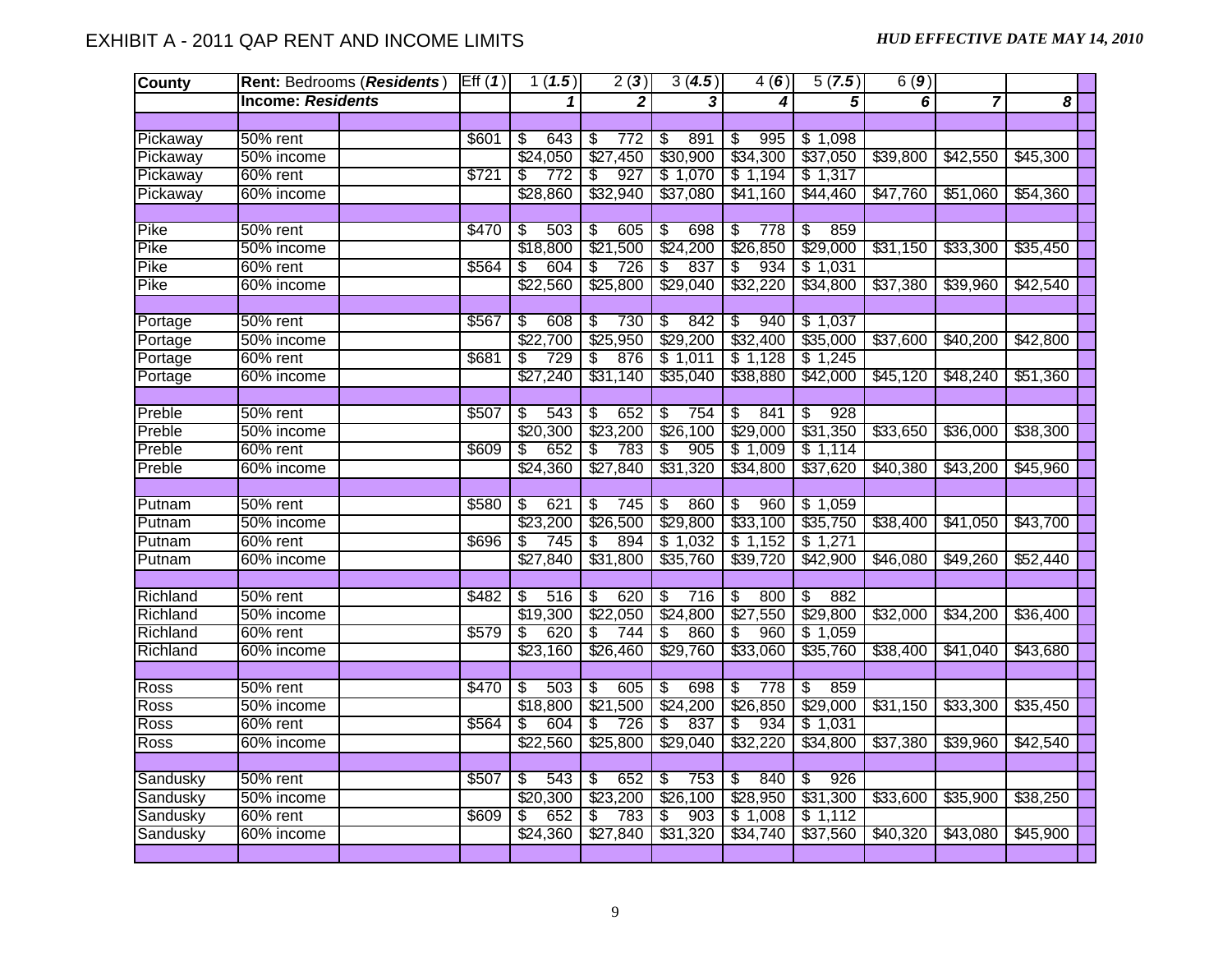| <b>County</b> |                          | Rent: Bedrooms (Residents) | Eff(1) | 1(1.5)                          | 2(3)                            | 3(4.5)                          | 4(6)                            | 5(7.5)                          | 6(9)     |                |          |
|---------------|--------------------------|----------------------------|--------|---------------------------------|---------------------------------|---------------------------------|---------------------------------|---------------------------------|----------|----------------|----------|
|               | <b>Income: Residents</b> |                            |        | 1                               | $\mathbf{2}$                    | 3                               | 4                               | 5                               | 6        | $\overline{7}$ | 8        |
|               |                          |                            |        |                                 |                                 |                                 |                                 |                                 |          |                |          |
| Pickaway      | 50% rent                 |                            | \$601  | 643<br>\$                       | S<br>772                        | 891<br>\$                       | 995<br>\$                       | \$1,098                         |          |                |          |
| Pickaway      | 50% income               |                            |        | \$24,050                        | \$27,450                        | \$30,900                        | \$34,300                        | \$37,050                        | \$39,800 | \$42,550       | \$45,300 |
| Pickaway      | 60% rent                 |                            | \$721  | 772<br>S                        | 927<br>\$                       | \$1,070                         | \$1,194                         | \$1,317                         |          |                |          |
| Pickaway      | 60% income               |                            |        | \$28,860                        | \$32,940                        | \$37,080                        | \$41,160                        | \$44,460                        | \$47,760 | \$51,060       | \$54,360 |
|               |                          |                            |        |                                 |                                 |                                 |                                 |                                 |          |                |          |
| Pike          | 50% rent                 |                            | \$470  | $\overline{\mathcal{S}}$<br>503 | $\overline{\mathcal{E}}$<br>605 | $\overline{\mathcal{S}}$<br>698 | 778<br>s)                       | $\overline{\mathcal{S}}$<br>859 |          |                |          |
| Pike          | 50% income               |                            |        | \$18,800                        | \$21,500                        | \$24,200                        | \$26,850                        | \$29,000                        | \$31,150 | \$33,300       | \$35,450 |
| Pike          | 60% rent                 |                            | \$564  | 604<br>\$                       | 726<br>\$                       | 837<br>S                        | 934<br>\$                       | \$1,031                         |          |                |          |
| Pike          | 60% income               |                            |        | \$22,560                        | \$25,800                        | \$29,040                        | \$32,220                        | \$34,800                        | \$37,380 | \$39,960       | \$42,540 |
|               |                          |                            |        |                                 |                                 |                                 |                                 |                                 |          |                |          |
| Portage       | 50% rent                 |                            | \$567  | S<br>608                        | 730<br>\$                       | $\overline{\mathcal{E}}$<br>842 | 940<br>\$                       | \$1,037                         |          |                |          |
| Portage       | 50% income               |                            |        | \$22,700                        | \$25,950                        | \$29,200                        | \$32,400                        | \$35,000                        | \$37,600 | \$40,200       | \$42,800 |
| Portage       | 60% rent                 |                            | \$681  | 729<br>\$                       | 876<br>\$                       | \$1,011                         | \$1,128                         | \$1,245                         |          |                |          |
| Portage       | 60% income               |                            |        | \$27,240                        | \$31,140                        | \$35,040                        | \$38,880                        | \$42,000                        | \$45,120 | \$48,240       | \$51,360 |
|               |                          |                            |        |                                 |                                 |                                 |                                 |                                 |          |                |          |
| Preble        | 50% rent                 |                            | \$507  | 543<br>\$                       | 652<br>\$                       | \$<br>754                       | 841<br>\$                       | 928<br>\$                       |          |                |          |
| Preble        | 50% income               |                            |        | \$20,300                        | \$23,200                        | \$26,100                        | \$29,000                        | \$31,350                        | \$33,650 | \$36,000       | \$38,300 |
| Preble        | 60% rent                 |                            | \$609  | 652<br>\$                       | 783<br>\$                       | \$<br>905                       | \$1,009                         | \$1,114                         |          |                |          |
| Preble        | 60% income               |                            |        | \$24,360                        | \$27,840                        | \$31,320                        | \$34,800                        | \$37,620                        | \$40,380 | \$43,200       | \$45,960 |
|               |                          |                            |        |                                 |                                 |                                 |                                 |                                 |          |                |          |
| Putnam        | 50% rent                 |                            | \$580  | $\overline{\$}$<br>621          | 745<br>$\overline{\mathcal{E}}$ | $\overline{\mathcal{E}}$<br>860 | $\overline{\mathcal{E}}$<br>960 | \$1,059                         |          |                |          |
| Putnam        | 50% income               |                            |        | \$23,200                        | \$26,500                        | \$29,800                        | \$33,100                        | \$35,750                        | \$38,400 | \$41,050       | \$43,700 |
| Putnam        | 60% rent                 |                            | \$696  | 745<br>\$                       | \$<br>894                       | \$1,032                         | \$1,152                         | \$1,271                         |          |                |          |
| Putnam        | 60% income               |                            |        | \$27,840                        | \$31,800                        | \$35,760                        | \$39,720                        | \$42,900                        | \$46,080 | \$49,260       | \$52,440 |
|               |                          |                            |        |                                 |                                 |                                 |                                 |                                 |          |                |          |
| Richland      | 50% rent                 |                            | \$482  | \$<br>516                       | S<br>620                        | S)<br>716                       | \$<br>800                       | 882<br>S                        |          |                |          |
| Richland      | 50% income               |                            |        | \$19,300                        | \$22,050                        | \$24,800                        | \$27,550                        | \$29,800                        | \$32,000 | \$34,200       | \$36,400 |
| Richland      | 60% rent                 |                            | \$579  | 620<br>\$                       | 744<br>$\overline{\mathcal{E}}$ | 860<br>\$                       | \$<br>960                       | \$1,059                         |          |                |          |
| Richland      | 60% income               |                            |        | \$23,160                        | \$26,460                        | \$29,760                        | \$33,060                        | \$35,760                        | \$38,400 | \$41,040       | \$43,680 |
|               |                          |                            |        |                                 |                                 |                                 |                                 |                                 |          |                |          |
| Ross          | 50% rent                 |                            | \$470  | 503<br>\$                       | $\overline{\mathbf{S}}$<br>605  | $\overline{\mathcal{S}}$<br>698 | $\overline{\mathcal{S}}$<br>778 | 859<br>$\overline{\mathbf{S}}$  |          |                |          |
| <b>Ross</b>   | 50% income               |                            |        | \$18,800                        | \$21,500                        | \$24,200                        | \$26,850                        | \$29,000                        | \$31,150 | \$33,300       | \$35,450 |
| Ross          | 60% rent                 |                            | \$564  | 604<br>\$                       | 726<br>\$                       | \$<br>837                       | 934<br>\$                       | \$1,031                         |          |                |          |
| Ross          | 60% income               |                            |        | \$22,560                        | \$25,800                        | \$29,040                        | \$32,220                        | \$34,800                        | \$37,380 | \$39,960       | \$42,540 |
|               |                          |                            |        |                                 |                                 |                                 |                                 |                                 |          |                |          |
| Sandusky      | 50% rent                 |                            | \$507  | \$<br>543                       | 652<br>\$                       | \$<br>753                       | 840<br>\$                       | 926<br>\$                       |          |                |          |
| Sandusky      | 50% income               |                            |        | \$20,300                        | \$23,200                        | \$26,100                        | \$28,950                        | \$31,300                        | \$33,600 | \$35,900       | \$38,250 |
| Sandusky      | 60% rent                 |                            | \$609  | 652<br>\$                       | \$<br>783                       | \$<br>903                       | \$1,008                         | \$1,112                         |          |                |          |
| Sandusky      | 60% income               |                            |        | \$24,360                        | \$27,840                        | \$31,320                        | \$34,740                        | \$37,560                        | \$40,320 | \$43,080       | \$45,900 |
|               |                          |                            |        |                                 |                                 |                                 |                                 |                                 |          |                |          |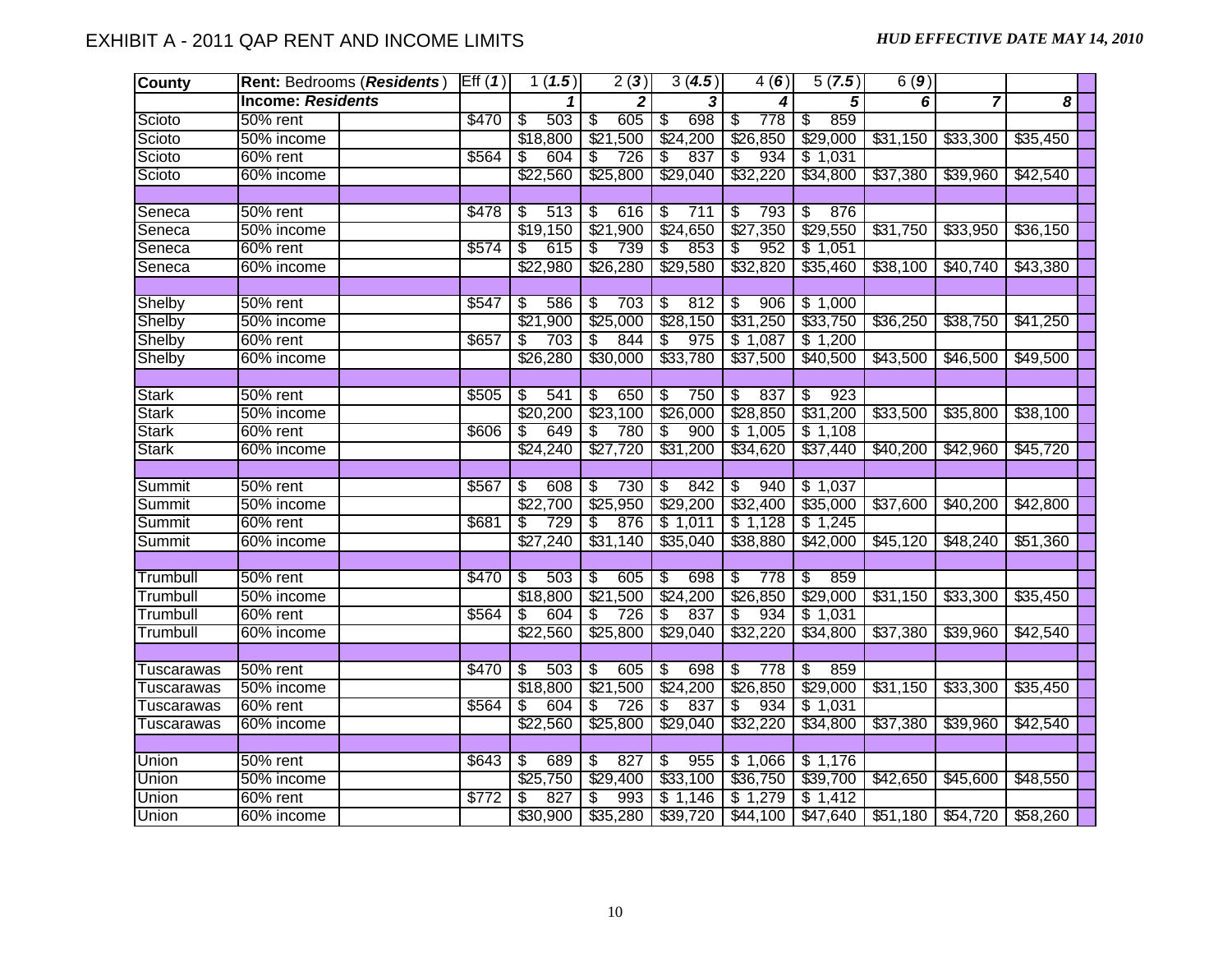| <b>County</b>     | Rent: Bedrooms (Residents) | Eff(1) | 1(1.5)                          | $\overline{2(3)}$                 | 3(4.5)                          | 4(6)                            | 5(7.5)                         | 6(9)     |                               |          |  |
|-------------------|----------------------------|--------|---------------------------------|-----------------------------------|---------------------------------|---------------------------------|--------------------------------|----------|-------------------------------|----------|--|
|                   | <b>Income: Residents</b>   |        |                                 | 2                                 | 3                               | 4                               | 5                              | 6        | $\overline{7}$                | 8        |  |
| Scioto            | 50% rent                   | \$470  | 503<br>\$                       | 605<br>\$                         | 698<br>\$                       | 778<br>\$                       | 859<br>\$                      |          |                               |          |  |
| Scioto            | 50% income                 |        | \$18,800                        | \$21,500                          | \$24,200                        | \$26,850                        | \$29,000                       | \$31,150 | \$33,300                      | \$35,450 |  |
| Scioto            | 60% rent                   | \$564  | 604<br>\$                       | S<br>726                          | -\$<br>837                      | 934<br>\$                       | \$1,031                        |          |                               |          |  |
| Scioto            | 60% income                 |        | \$22,560                        | \$25,800                          | \$29,040                        | \$32,220                        | \$34,800                       | \$37,380 | \$39,960                      | \$42,540 |  |
|                   |                            |        |                                 |                                   |                                 |                                 |                                |          |                               |          |  |
| Seneca            | 50% rent                   | \$478  | 513<br>$\overline{\mathcal{S}}$ | 616<br>$\overline{\mathcal{E}}$   | $\sqrt[3]{3}$<br>711            | \$<br>793                       | $\sqrt[6]{\frac{2}{5}}$<br>876 |          |                               |          |  |
| Seneca            | 50% income                 |        | \$19,150                        | \$21,900                          | \$24,650                        | \$27,350                        | \$29,550                       | \$31,750 | \$33,950                      | \$36,150 |  |
| Seneca            | 60% rent                   | \$574  | \$<br>615                       | 739<br>\$                         | 853<br>-\$                      | 952<br>\$                       | \$1,051                        |          |                               |          |  |
| Seneca            | 60% income                 |        | \$22,980                        | \$26,280                          | \$29,580                        | \$32,820                        | \$35,460                       | \$38,100 | \$40,740                      | \$43,380 |  |
|                   |                            |        |                                 |                                   |                                 |                                 |                                |          |                               |          |  |
| Shelby            | 50% rent                   | \$547  | $\overline{\mathcal{E}}$<br>586 | 703<br>$\overline{\mathcal{E}}$   | $\overline{\mathcal{F}}$<br>812 | $\overline{\mathcal{E}}$<br>906 | \$1,000                        |          |                               |          |  |
| Shelby            | 50% income                 |        | \$21,900                        | \$25,000                          | \$28,150                        | \$31,250                        | \$33,750                       | \$36,250 | \$38,750                      | \$41,250 |  |
| Shelby            | $60%$ rent                 | \$657  | \$<br>703                       | 844<br>\$.                        | 975<br>\$                       | \$1,087                         | \$1,200                        |          |                               |          |  |
| Shelby            | 60% income                 |        | \$26,280                        | \$30,000                          | \$33,780                        | \$37,500                        | \$40,500                       | \$43,500 | \$46,500                      | \$49,500 |  |
|                   |                            |        |                                 |                                   |                                 |                                 |                                |          |                               |          |  |
| <b>Stark</b>      | 50% rent                   | \$505  | \$<br>541                       | 650<br>\$                         | $\overline{\mathcal{S}}$<br>750 | 837<br>$\overline{\mathcal{S}}$ | 923<br>\$                      |          |                               |          |  |
| <b>Stark</b>      | 50% income                 |        | \$20,200                        | \$23,100                          | \$26,000                        | \$28,850                        | \$31,200                       | \$33,500 | \$35,800                      | \$38,100 |  |
| <b>Stark</b>      | 60% rent                   | \$606  | 649<br>S                        | 780<br>\$                         | S<br>900                        | \$1,005                         | \$1,108                        |          |                               |          |  |
| <b>Stark</b>      | 60% income                 |        | \$24,240                        | \$27,720                          | \$31,200                        | \$34,620                        | \$37,440                       | \$40,200 | \$42,960                      | \$45,720 |  |
|                   |                            |        |                                 |                                   |                                 |                                 |                                |          |                               |          |  |
| Summit            | 50% rent                   | \$567  | \$<br>608                       | 730<br>\$                         | 842<br>\$                       | \$<br>940                       | \$1,037                        |          |                               |          |  |
| Summit            | 50% income                 |        | \$22,700                        | \$25,950                          | \$29,200                        | \$32,400                        | \$35,000                       | \$37,600 | \$40,200                      | \$42,800 |  |
| Summit            | 60% rent                   | \$681  | 729<br>\$                       | \$<br>876                         | \$1,011                         | \$1,128                         | \$1,245                        |          |                               |          |  |
| Summit            | 60% income                 |        | \$27,240                        | \$31,140                          | \$35,040                        | \$38,880                        | \$42,000                       | \$45,120 | \$48,240                      | \$51,360 |  |
|                   |                            |        |                                 |                                   |                                 |                                 |                                |          |                               |          |  |
| Trumbull          | 50% rent                   | \$470  | 503<br>\$                       | 605<br>\$                         | \$<br>698                       | 778<br>\$                       | 859<br>\$                      |          |                               |          |  |
| Trumbull          | 50% income                 |        | \$18,800                        | \$21,500                          | \$24,200                        | \$26,850                        | \$29,000                       | \$31,150 | \$33,300                      | \$35,450 |  |
| Trumbull          | 60% rent                   | \$564  | 604<br>\$                       | 726<br>$\overline{\mathcal{E}}$   | \$<br>837                       | 934<br>\$                       | \$1,031                        |          |                               |          |  |
| Trumbull          | 60% income                 |        | \$22,560                        | \$25,800                          | \$29,040                        | \$32,220                        | \$34,800                       | \$37,380 | \$39,960                      | \$42,540 |  |
|                   |                            |        |                                 |                                   |                                 |                                 |                                |          |                               |          |  |
| <b>Tuscarawas</b> | 50% rent                   | \$470  | 503<br>s)                       | 605<br>$\overline{\mathcal{S}}$   | $\overline{\mathcal{S}}$<br>698 | \$<br>778                       | 859<br>\$                      |          |                               |          |  |
| <b>Tuscarawas</b> | 50% income                 |        | \$18,800                        | \$21,500                          | \$24,200                        | \$26,850                        | \$29,000                       | \$31,150 | \$33,300                      | \$35,450 |  |
| Tuscarawas        | 60% rent                   | \$564  | 604<br>\$                       | 726<br>$\overline{\mathcal{S}}$   | 837<br>\$                       | 934<br>\$                       | \$1,031                        |          |                               |          |  |
| <b>Tuscarawas</b> | 60% income                 |        | \$22,560                        | \$25,800                          | \$29,040                        | \$32,220                        | \$34,800                       | \$37,380 | \$39,960                      | \$42,540 |  |
|                   |                            |        |                                 |                                   |                                 |                                 |                                |          |                               |          |  |
| Union             | 50% rent                   | \$643  | 689<br>\$                       | 827<br>$\overline{\mathcal{E}}$   | $\overline{\mathcal{E}}$<br>955 | \$1,066                         | \$1,176                        |          |                               |          |  |
| Union             | 50% income                 |        | \$25,750                        | \$29,400                          | \$33,100                        | \$36,750                        | \$39,700                       | \$42,650 | \$45,600                      | \$48,550 |  |
| <b>Union</b>      | 60% rent                   | \$772  | 827<br>\$                       | 993<br>\$                         | \$1,146                         | \$1,279                         | \$1,412                        |          |                               |          |  |
| <b>Union</b>      | 60% income                 |        |                                 | $$30,900$   $$35,280$   $$39,720$ |                                 | \$44,100                        | \$47,640                       |          | $$51,180$ $$54,720$ $$58,260$ |          |  |